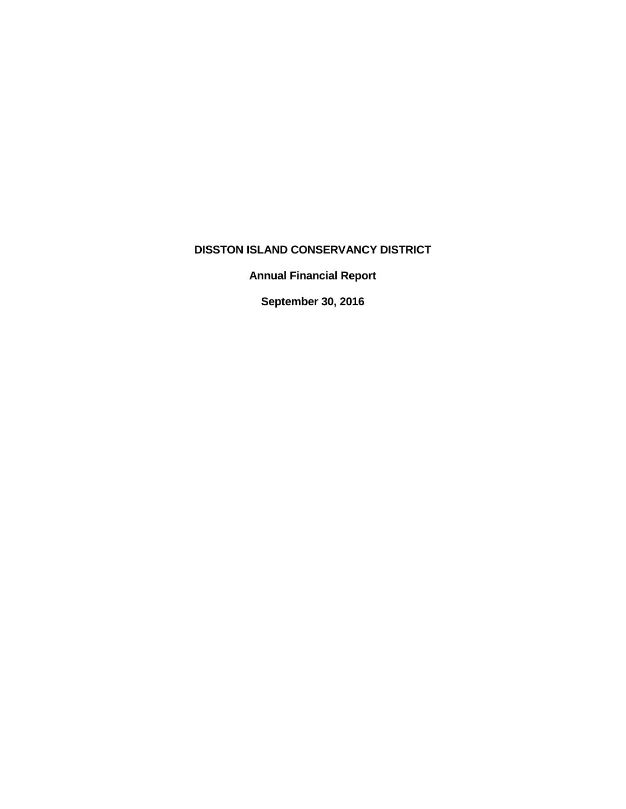## **DISSTON ISLAND CONSERVANCY DISTRICT**

**Annual Financial Report**

**September 30, 2016**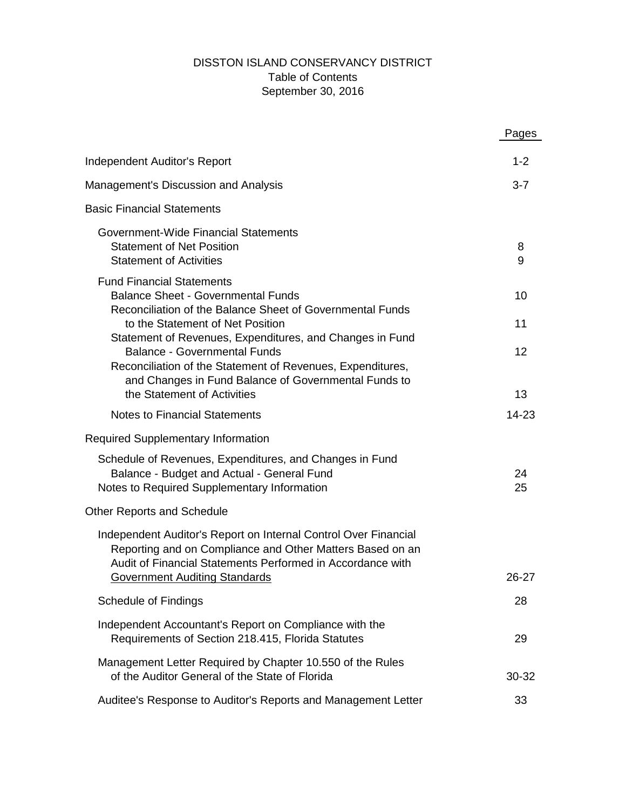## DISSTON ISLAND CONSERVANCY DISTRICT Table of Contents September 30, 2016

|                                                                                                                                                                                            | Pages     |
|--------------------------------------------------------------------------------------------------------------------------------------------------------------------------------------------|-----------|
| Independent Auditor's Report                                                                                                                                                               | $1 - 2$   |
| Management's Discussion and Analysis                                                                                                                                                       | $3 - 7$   |
| <b>Basic Financial Statements</b>                                                                                                                                                          |           |
| Government-Wide Financial Statements<br><b>Statement of Net Position</b><br><b>Statement of Activities</b>                                                                                 | 8<br>9    |
| <b>Fund Financial Statements</b><br><b>Balance Sheet - Governmental Funds</b><br>Reconciliation of the Balance Sheet of Governmental Funds                                                 | 10        |
| to the Statement of Net Position<br>Statement of Revenues, Expenditures, and Changes in Fund                                                                                               | 11        |
| <b>Balance - Governmental Funds</b><br>Reconciliation of the Statement of Revenues, Expenditures,<br>and Changes in Fund Balance of Governmental Funds to                                  | 12        |
| the Statement of Activities                                                                                                                                                                | 13        |
| <b>Notes to Financial Statements</b>                                                                                                                                                       | 14-23     |
| <b>Required Supplementary Information</b>                                                                                                                                                  |           |
| Schedule of Revenues, Expenditures, and Changes in Fund<br>Balance - Budget and Actual - General Fund<br>Notes to Required Supplementary Information                                       | 24<br>25  |
| <b>Other Reports and Schedule</b>                                                                                                                                                          |           |
| Independent Auditor's Report on Internal Control Over Financial<br>Reporting and on Compliance and Other Matters Based on an<br>Audit of Financial Statements Performed in Accordance with |           |
| <b>Government Auditing Standards</b>                                                                                                                                                       | $26 - 27$ |
| Schedule of Findings                                                                                                                                                                       | 28        |
| Independent Accountant's Report on Compliance with the<br>Requirements of Section 218.415, Florida Statutes                                                                                | 29        |
| Management Letter Required by Chapter 10.550 of the Rules<br>of the Auditor General of the State of Florida                                                                                | 30-32     |
| Auditee's Response to Auditor's Reports and Management Letter                                                                                                                              | 33        |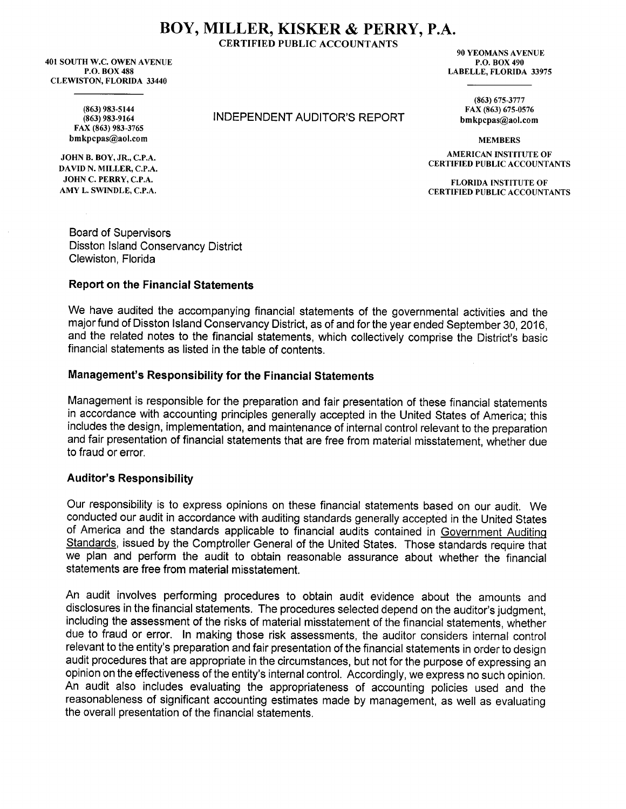# BOY, MILLER, KISKER & PERRY, P.A.

**CERTIFIED PUBLIC ACCOUNTANTS** 

401 SOUTH W.C. OWEN AVENUE **P.O. BOX 488 CLEWISTON, FLORIDA 33440** 

90 YEOMANS AVENUE P.O. BOX 490 **LABELLE, FLORIDA 33975** 

(863) 983-5144  $(863)$  983-9164 FAX (863) 983-3765 bmkpcpas@aol.com

JOHN B. BOY, JR., C.P.A. DAVID N. MILLER, C.P.A. JOHN C. PERRY, C.P.A. AMY L. SWINDLE, C.P.A.

**Board of Supervisors** Disston Island Conservancy District Clewiston, Florida

#### **Report on the Financial Statements**

We have audited the accompanying financial statements of the governmental activities and the major fund of Disston Island Conservancy District, as of and for the year ended September 30, 2016, and the related notes to the financial statements, which collectively comprise the District's basic financial statements as listed in the table of contents.

#### Management's Responsibility for the Financial Statements

Management is responsible for the preparation and fair presentation of these financial statements in accordance with accounting principles generally accepted in the United States of America; this includes the design, implementation, and maintenance of internal control relevant to the preparation and fair presentation of financial statements that are free from material misstatement, whether due to fraud or error.

#### **Auditor's Responsibility**

Our responsibility is to express opinions on these financial statements based on our audit. We conducted our audit in accordance with auditing standards generally accepted in the United States of America and the standards applicable to financial audits contained in Government Auditing Standards, issued by the Comptroller General of the United States. Those standards require that we plan and perform the audit to obtain reasonable assurance about whether the financial statements are free from material misstatement.

An audit involves performing procedures to obtain audit evidence about the amounts and disclosures in the financial statements. The procedures selected depend on the auditor's judgment, including the assessment of the risks of material misstatement of the financial statements, whether due to fraud or error. In making those risk assessments, the auditor considers internal control relevant to the entity's preparation and fair presentation of the financial statements in order to design audit procedures that are appropriate in the circumstances, but not for the purpose of expressing an opinion on the effectiveness of the entity's internal control. Accordingly, we express no such opinion. An audit also includes evaluating the appropriateness of accounting policies used and the reasonableness of significant accounting estimates made by management, as well as evaluating the overall presentation of the financial statements.

**INDEPENDENT AUDITOR'S REPORT** 

(863) 675-3777 FAX (863) 675-0576 bmkpcpas@aol.com

**MEMBERS** 

**AMERICAN INSTITUTE OF CERTIFIED PUBLIC ACCOUNTANTS** 

**FLORIDA INSTITUTE OF CERTIFIED PUBLIC ACCOUNTANTS**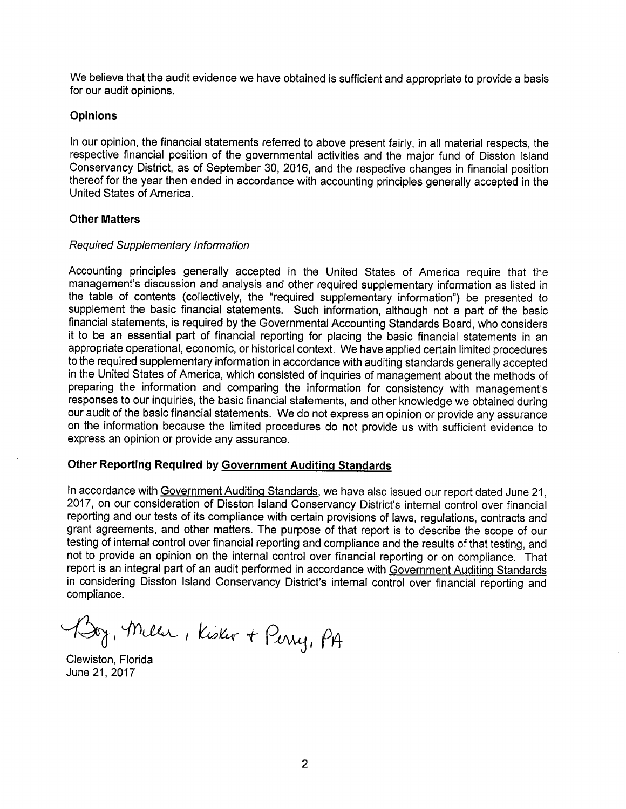We believe that the audit evidence we have obtained is sufficient and appropriate to provide a basis for our audit opinions.

#### **Opinions**

In our opinion, the financial statements referred to above present fairly, in all material respects, the respective financial position of the governmental activities and the major fund of Disston Island Conservancy District, as of September 30, 2016, and the respective changes in financial position thereof for the vear then ended in accordance with accounting principles generally accepted in the United States of America.

#### **Other Matters**

#### **Required Supplementary Information**

Accounting principles generally accepted in the United States of America require that the management's discussion and analysis and other required supplementary information as listed in the table of contents (collectively, the "required supplementary information") be presented to supplement the basic financial statements. Such information, although not a part of the basic financial statements, is required by the Governmental Accounting Standards Board, who considers it to be an essential part of financial reporting for placing the basic financial statements in an appropriate operational, economic, or historical context. We have applied certain limited procedures to the required supplementary information in accordance with auditing standards generally accepted in the United States of America, which consisted of inquiries of management about the methods of preparing the information and comparing the information for consistency with management's responses to our inquiries, the basic financial statements, and other knowledge we obtained during our audit of the basic financial statements. We do not express an opinion or provide any assurance on the information because the limited procedures do not provide us with sufficient evidence to express an opinion or provide any assurance.

#### **Other Reporting Required by Government Auditing Standards**

In accordance with Government Auditing Standards, we have also issued our report dated June 21, 2017, on our consideration of Disston Island Conservancy District's internal control over financial reporting and our tests of its compliance with certain provisions of laws, regulations, contracts and grant agreements, and other matters. The purpose of that report is to describe the scope of our testing of internal control over financial reporting and compliance and the results of that testing, and not to provide an opinion on the internal control over financial reporting or on compliance. That report is an integral part of an audit performed in accordance with Government Auditing Standards in considering Disston Island Conservancy District's internal control over financial reporting and compliance.

Boy, Miller, Kisker + Perry, PA

Clewiston, Florida June 21, 2017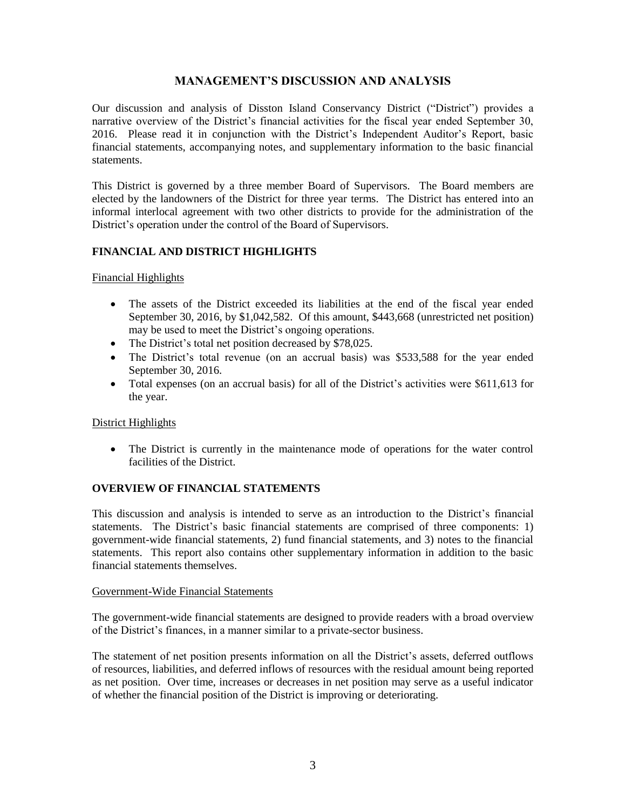## **MANAGEMENT'S DISCUSSION AND ANALYSIS**

Our discussion and analysis of Disston Island Conservancy District ("District") provides a narrative overview of the District's financial activities for the fiscal year ended September 30, 2016. Please read it in conjunction with the District's Independent Auditor's Report, basic financial statements, accompanying notes, and supplementary information to the basic financial statements.

This District is governed by a three member Board of Supervisors. The Board members are elected by the landowners of the District for three year terms. The District has entered into an informal interlocal agreement with two other districts to provide for the administration of the District's operation under the control of the Board of Supervisors.

#### **FINANCIAL AND DISTRICT HIGHLIGHTS**

Financial Highlights

- The assets of the District exceeded its liabilities at the end of the fiscal year ended September 30, 2016, by \$1,042,582. Of this amount, \$443,668 (unrestricted net position) may be used to meet the District's ongoing operations.
- The District's total net position decreased by \$78,025.
- The District's total revenue (on an accrual basis) was \$533,588 for the year ended September 30, 2016.
- Total expenses (on an accrual basis) for all of the District's activities were \$611,613 for the year.

#### District Highlights

• The District is currently in the maintenance mode of operations for the water control facilities of the District.

#### **OVERVIEW OF FINANCIAL STATEMENTS**

This discussion and analysis is intended to serve as an introduction to the District's financial statements. The District's basic financial statements are comprised of three components: 1) government-wide financial statements, 2) fund financial statements, and 3) notes to the financial statements. This report also contains other supplementary information in addition to the basic financial statements themselves.

#### Government-Wide Financial Statements

The government-wide financial statements are designed to provide readers with a broad overview of the District's finances, in a manner similar to a private-sector business.

The statement of net position presents information on all the District's assets, deferred outflows of resources, liabilities, and deferred inflows of resources with the residual amount being reported as net position. Over time, increases or decreases in net position may serve as a useful indicator of whether the financial position of the District is improving or deteriorating.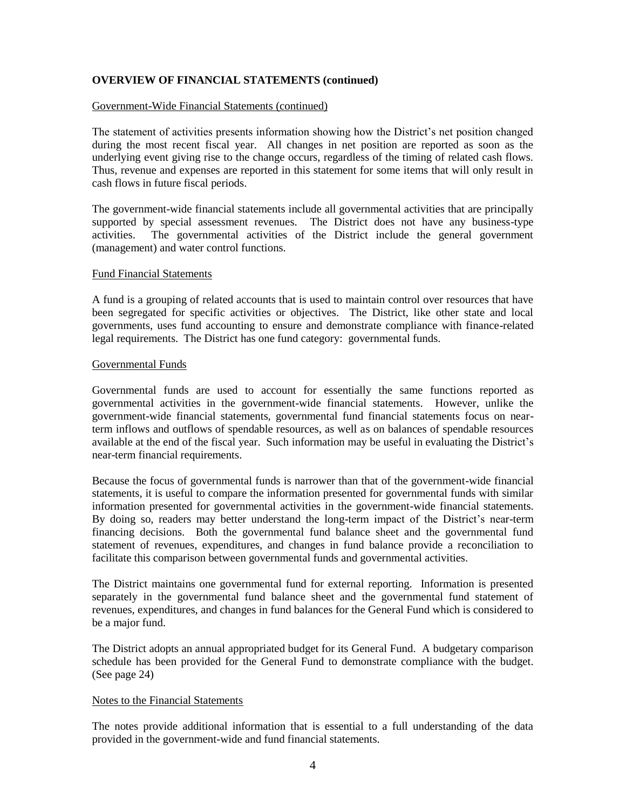#### **OVERVIEW OF FINANCIAL STATEMENTS (continued)**

#### Government-Wide Financial Statements (continued)

The statement of activities presents information showing how the District's net position changed during the most recent fiscal year. All changes in net position are reported as soon as the underlying event giving rise to the change occurs, regardless of the timing of related cash flows. Thus, revenue and expenses are reported in this statement for some items that will only result in cash flows in future fiscal periods.

The government-wide financial statements include all governmental activities that are principally supported by special assessment revenues. The District does not have any business-type activities. The governmental activities of the District include the general government (management) and water control functions.

#### Fund Financial Statements

A fund is a grouping of related accounts that is used to maintain control over resources that have been segregated for specific activities or objectives. The District, like other state and local governments, uses fund accounting to ensure and demonstrate compliance with finance-related legal requirements. The District has one fund category: governmental funds.

#### Governmental Funds

Governmental funds are used to account for essentially the same functions reported as governmental activities in the government-wide financial statements. However, unlike the government-wide financial statements, governmental fund financial statements focus on nearterm inflows and outflows of spendable resources, as well as on balances of spendable resources available at the end of the fiscal year. Such information may be useful in evaluating the District's near-term financial requirements.

Because the focus of governmental funds is narrower than that of the government-wide financial statements, it is useful to compare the information presented for governmental funds with similar information presented for governmental activities in the government-wide financial statements. By doing so, readers may better understand the long-term impact of the District's near-term financing decisions. Both the governmental fund balance sheet and the governmental fund statement of revenues, expenditures, and changes in fund balance provide a reconciliation to facilitate this comparison between governmental funds and governmental activities.

The District maintains one governmental fund for external reporting. Information is presented separately in the governmental fund balance sheet and the governmental fund statement of revenues, expenditures, and changes in fund balances for the General Fund which is considered to be a major fund.

The District adopts an annual appropriated budget for its General Fund. A budgetary comparison schedule has been provided for the General Fund to demonstrate compliance with the budget. (See page 24)

#### Notes to the Financial Statements

The notes provide additional information that is essential to a full understanding of the data provided in the government-wide and fund financial statements.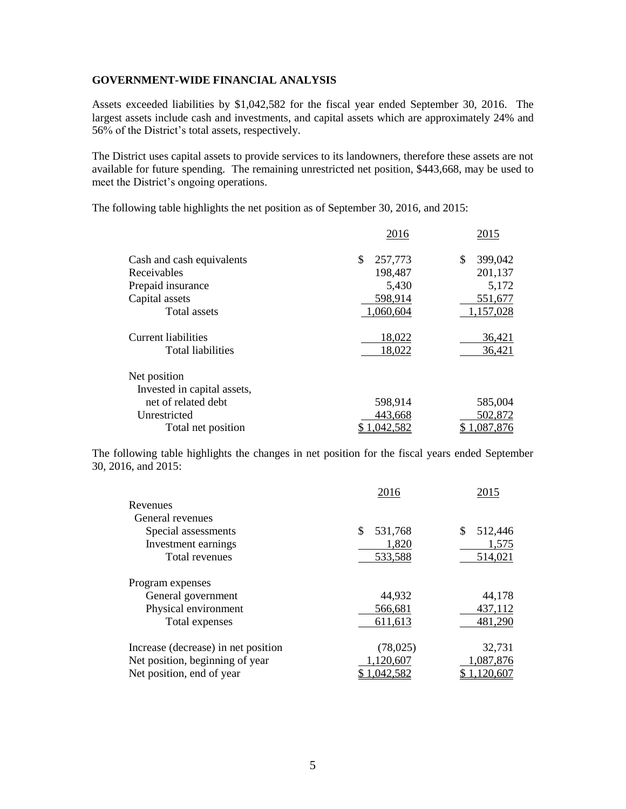#### **GOVERNMENT-WIDE FINANCIAL ANALYSIS**

Assets exceeded liabilities by \$1,042,582 for the fiscal year ended September 30, 2016. The largest assets include cash and investments, and capital assets which are approximately 24% and 56% of the District's total assets, respectively.

The District uses capital assets to provide services to its landowners, therefore these assets are not available for future spending. The remaining unrestricted net position, \$443,668, may be used to meet the District's ongoing operations.

The following table highlights the net position as of September 30, 2016, and 2015:

|                             | 2016          | 2015          |
|-----------------------------|---------------|---------------|
| Cash and cash equivalents   | \$<br>257,773 | 399,042<br>\$ |
| Receivables                 | 198,487       | 201,137       |
| Prepaid insurance           | 5,430         | 5,172         |
| Capital assets              | 598,914       | 551,677       |
| Total assets                | 1,060,604     | 1,157,028     |
| Current liabilities         | 18,022        | 36,421        |
| <b>Total liabilities</b>    | 18,022        | 36,421        |
| Net position                |               |               |
| Invested in capital assets, |               |               |
| net of related debt         | 598,914       | 585,004       |
| Unrestricted                | 443,668       | 502,872       |
| Total net position          | 1,042,582     | \$1,087,876   |

The following table highlights the changes in net position for the fiscal years ended September 30, 2016, and 2015:

|                                     | 2016      | 2015      |
|-------------------------------------|-----------|-----------|
| Revenues                            |           |           |
| General revenues                    |           |           |
| Special assessments                 | 531,768   | 512,446   |
| Investment earnings                 | 1,820     | 1,575     |
| Total revenues                      | 533,588   | 514,021   |
| Program expenses                    |           |           |
| General government                  | 44,932    | 44,178    |
| Physical environment                | 566,681   | 437,112   |
| Total expenses                      | 611,613   | 481,290   |
| Increase (decrease) in net position | (78,025)  | 32,731    |
| Net position, beginning of year     | 1,120,607 | 1,087,876 |
| Net position, end of year           | 1,042,582 | ,120,607  |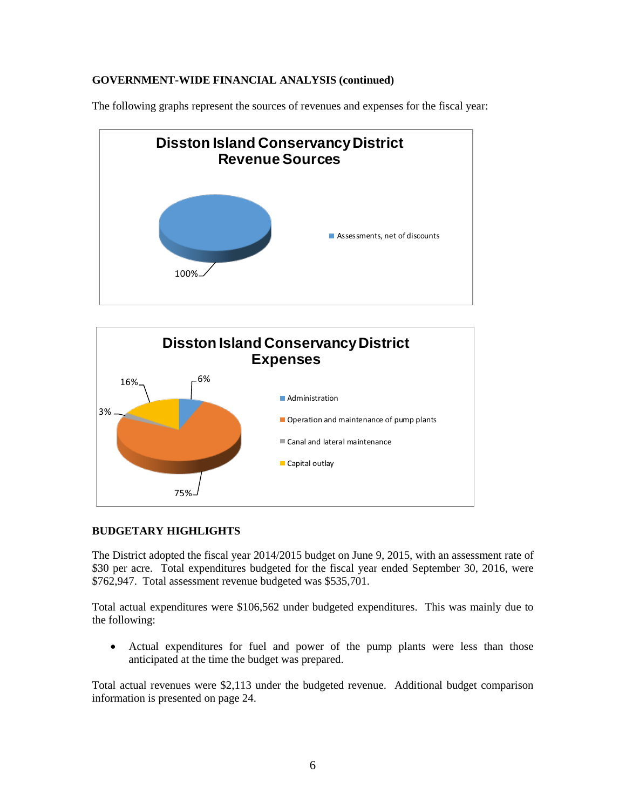#### **GOVERNMENT-WIDE FINANCIAL ANALYSIS (continued)**

The following graphs represent the sources of revenues and expenses for the fiscal year:





## **BUDGETARY HIGHLIGHTS**

The District adopted the fiscal year 2014/2015 budget on June 9, 2015, with an assessment rate of \$30 per acre. Total expenditures budgeted for the fiscal year ended September 30, 2016, were \$762,947. Total assessment revenue budgeted was \$535,701.

Total actual expenditures were \$106,562 under budgeted expenditures. This was mainly due to the following:

 Actual expenditures for fuel and power of the pump plants were less than those anticipated at the time the budget was prepared.

Total actual revenues were \$2,113 under the budgeted revenue. Additional budget comparison information is presented on page 24.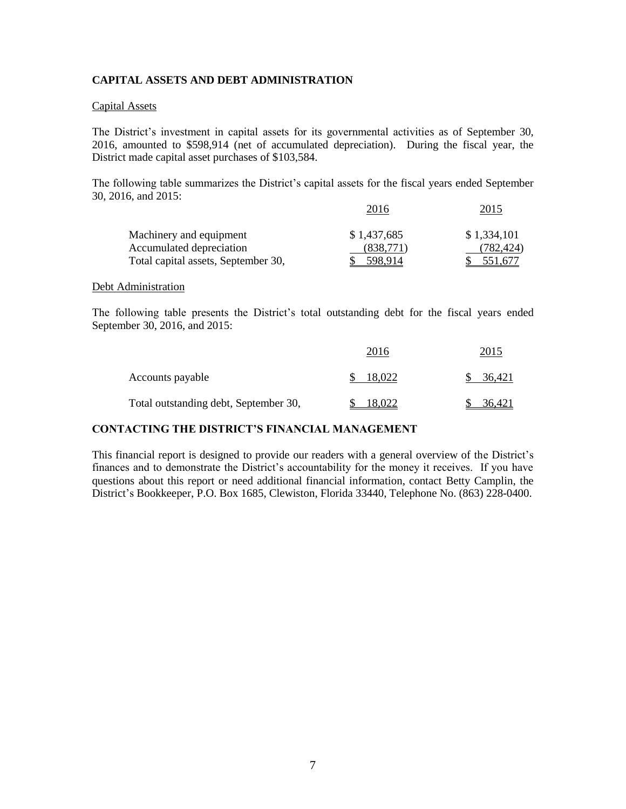#### **CAPITAL ASSETS AND DEBT ADMINISTRATION**

#### Capital Assets

The District's investment in capital assets for its governmental activities as of September 30, 2016, amounted to \$598,914 (net of accumulated depreciation). During the fiscal year, the District made capital asset purchases of \$103,584.

The following table summarizes the District's capital assets for the fiscal years ended September 30, 2016, and 2015:

|                                     | 2016        | 2015        |
|-------------------------------------|-------------|-------------|
| Machinery and equipment             | \$1,437,685 | \$1,334,101 |
| Accumulated depreciation            | (838.771)   | (782, 424)  |
| Total capital assets, September 30, | 598.914     | 551.677     |

#### Debt Administration

The following table presents the District's total outstanding debt for the fiscal years ended September 30, 2016, and 2015:

|                                       | 2016   | 2015   |
|---------------------------------------|--------|--------|
| Accounts payable                      | 18.022 | 36.421 |
| Total outstanding debt, September 30, | 18.022 | 36.421 |

#### **CONTACTING THE DISTRICT'S FINANCIAL MANAGEMENT**

This financial report is designed to provide our readers with a general overview of the District's finances and to demonstrate the District's accountability for the money it receives. If you have questions about this report or need additional financial information, contact Betty Camplin, the District's Bookkeeper, P.O. Box 1685, Clewiston, Florida 33440, Telephone No. (863) 228-0400.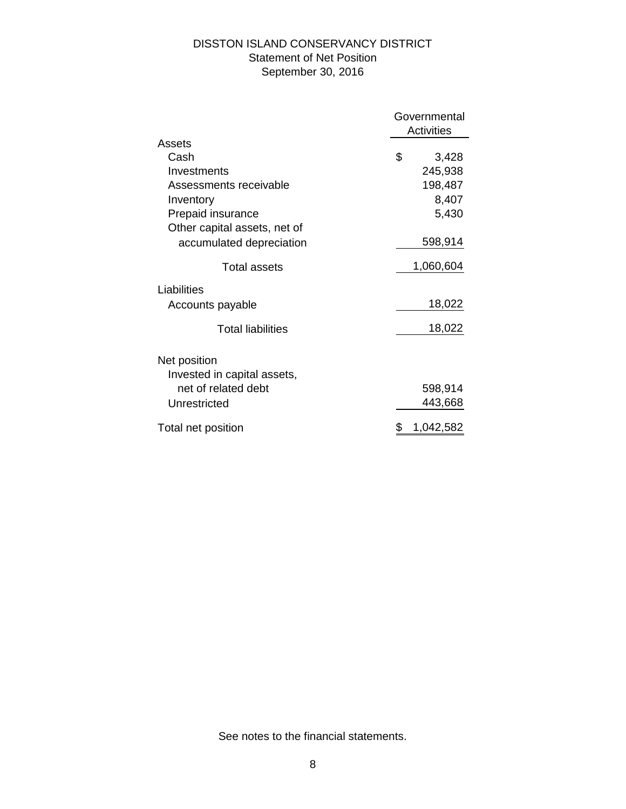## DISSTON ISLAND CONSERVANCY DISTRICT Statement of Net Position September 30, 2016

|                              | Governmental      |
|------------------------------|-------------------|
|                              | <b>Activities</b> |
| Assets                       |                   |
| Cash                         | \$<br>3,428       |
| Investments                  | 245,938           |
| Assessments receivable       | 198,487           |
| Inventory                    | 8,407             |
| Prepaid insurance            | 5,430             |
| Other capital assets, net of |                   |
| accumulated depreciation     | 598,914           |
| Total assets                 | 1,060,604         |
| Liabilities                  |                   |
| Accounts payable             | 18,022            |
| <b>Total liabilities</b>     | 18,022            |
| Net position                 |                   |
| Invested in capital assets,  |                   |
| net of related debt          | 598,914           |
| Unrestricted                 | 443,668           |
| Total net position           | 1,042,582<br>\$   |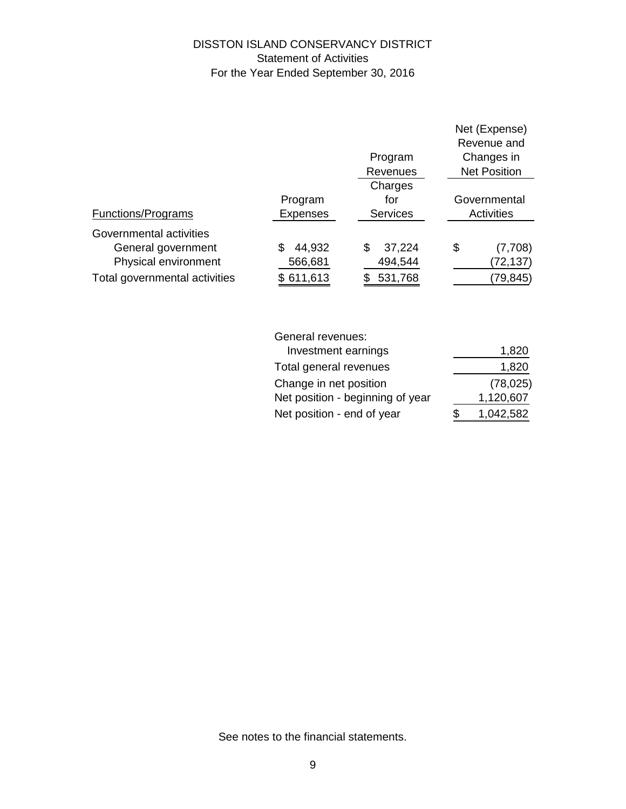## DISSTON ISLAND CONSERVANCY DISTRICT Statement of Activities For the Year Ended September 30, 2016

|                               |                 |                 | Net (Expense)       |
|-------------------------------|-----------------|-----------------|---------------------|
|                               |                 |                 | Revenue and         |
|                               |                 | Program         | Changes in          |
|                               |                 | Revenues        | <b>Net Position</b> |
|                               |                 | Charges         |                     |
|                               | Program         | for             | Governmental        |
| Functions/Programs            | <b>Expenses</b> | <b>Services</b> | Activities          |
| Governmental activities       |                 |                 |                     |
| General government            | 44,932<br>\$    | 37,224<br>\$    | \$<br>(7,708)       |
| Physical environment          | 566,681         | 494,544         | (72,137)            |
| Total governmental activities | 611,613         | 531,768         | (79,845)            |

| General revenues:                |           |
|----------------------------------|-----------|
| Investment earnings              | 1,820     |
| Total general revenues           | 1,820     |
| Change in net position           | (78, 025) |
| Net position - beginning of year | 1,120,607 |
| Net position - end of year       | 1,042,582 |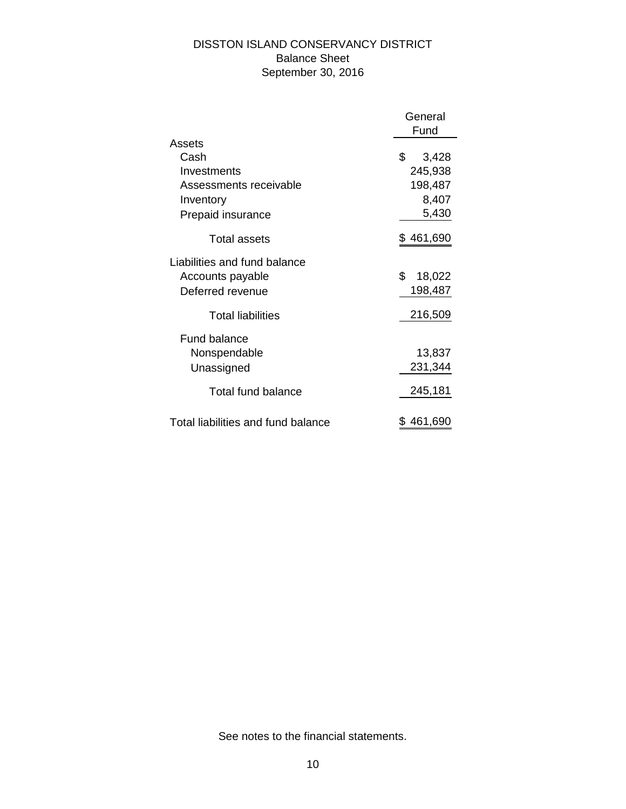## DISSTON ISLAND CONSERVANCY DISTRICT Balance Sheet September 30, 2016

|                                    | General<br>Fund |
|------------------------------------|-----------------|
| Assets                             |                 |
| Cash                               | \$<br>3,428     |
| Investments                        | 245,938         |
| Assessments receivable             | 198,487         |
| Inventory                          | 8,407           |
| Prepaid insurance                  | 5,430           |
| Total assets                       | \$461,690       |
| Liabilities and fund balance       |                 |
| Accounts payable                   | \$<br>18,022    |
| Deferred revenue                   | 198,487         |
| <b>Total liabilities</b>           | 216,509         |
| Fund balance                       |                 |
| Nonspendable                       | 13,837          |
| Unassigned                         | 231,344         |
| Total fund balance                 | 245,181         |
| Total liabilities and fund balance | 461,690         |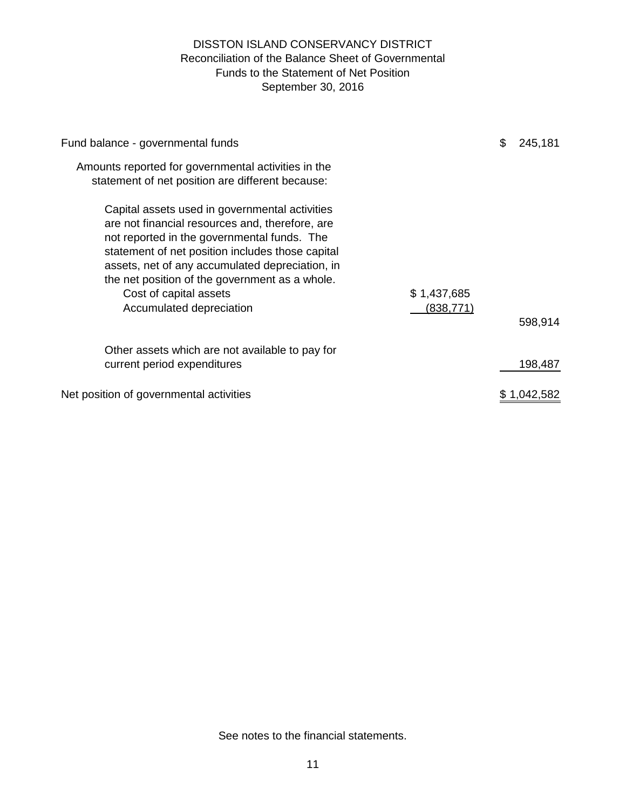## DISSTON ISLAND CONSERVANCY DISTRICT Reconciliation of the Balance Sheet of Governmental Funds to the Statement of Net Position September 30, 2016

| Fund balance - governmental funds                                                                                                                                                                                                                                                                                                                                                           | \$<br>245,181 |
|---------------------------------------------------------------------------------------------------------------------------------------------------------------------------------------------------------------------------------------------------------------------------------------------------------------------------------------------------------------------------------------------|---------------|
| Amounts reported for governmental activities in the<br>statement of net position are different because:                                                                                                                                                                                                                                                                                     |               |
| Capital assets used in governmental activities<br>are not financial resources and, therefore, are<br>not reported in the governmental funds. The<br>statement of net position includes those capital<br>assets, net of any accumulated depreciation, in<br>the net position of the government as a whole.<br>Cost of capital assets<br>\$1,437,685<br>Accumulated depreciation<br>(838,771) | 598,914       |
| Other assets which are not available to pay for<br>current period expenditures                                                                                                                                                                                                                                                                                                              | 198,487       |
| Net position of governmental activities                                                                                                                                                                                                                                                                                                                                                     | 1.042.582     |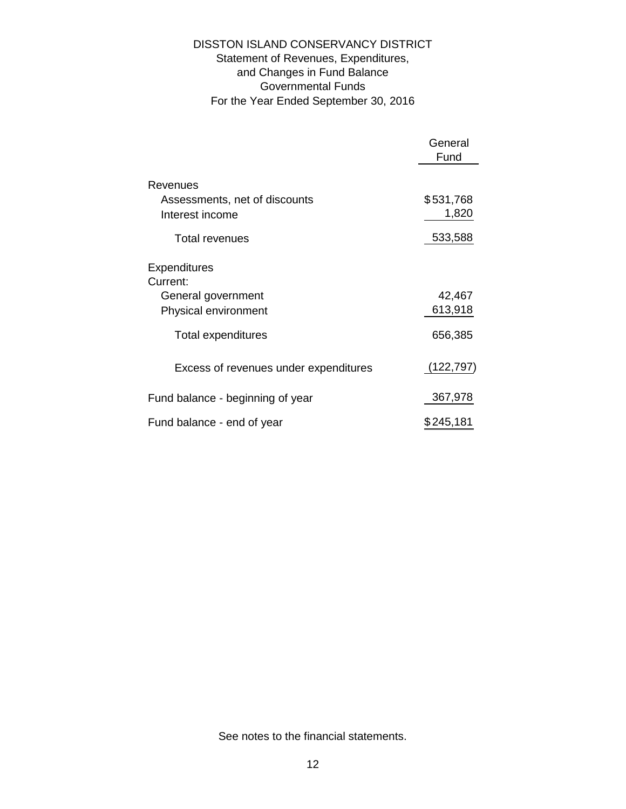## DISSTON ISLAND CONSERVANCY DISTRICT Statement of Revenues, Expenditures, and Changes in Fund Balance Governmental Funds For the Year Ended September 30, 2016

|                                                  | General<br>Fund    |
|--------------------------------------------------|--------------------|
|                                                  |                    |
| Revenues                                         |                    |
| Assessments, net of discounts<br>Interest income | \$531,768<br>1,820 |
| <b>Total revenues</b>                            | 533,588            |
| Expenditures<br>Current:                         |                    |
| General government                               | 42,467             |
| Physical environment                             | 613,918            |
| <b>Total expenditures</b>                        | 656,385            |
| Excess of revenues under expenditures            | (122, 797)         |
| Fund balance - beginning of year                 | 367,978            |
| Fund balance - end of year                       | \$245,181          |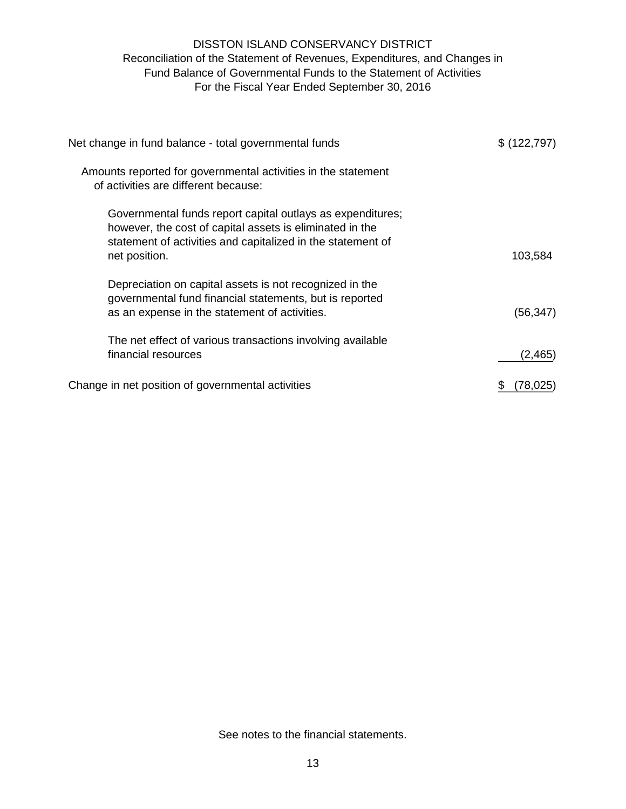## DISSTON ISLAND CONSERVANCY DISTRICT Reconciliation of the Statement of Revenues, Expenditures, and Changes in Fund Balance of Governmental Funds to the Statement of Activities For the Fiscal Year Ended September 30, 2016

| Net change in fund balance - total governmental funds                                                                                                                                                  | \$ (122, 797) |
|--------------------------------------------------------------------------------------------------------------------------------------------------------------------------------------------------------|---------------|
| Amounts reported for governmental activities in the statement<br>of activities are different because:                                                                                                  |               |
| Governmental funds report capital outlays as expenditures;<br>however, the cost of capital assets is eliminated in the<br>statement of activities and capitalized in the statement of<br>net position. | 103,584       |
| Depreciation on capital assets is not recognized in the<br>governmental fund financial statements, but is reported<br>as an expense in the statement of activities.                                    | (56, 347)     |
| The net effect of various transactions involving available<br>financial resources                                                                                                                      | (2, 465)      |
| Change in net position of governmental activities                                                                                                                                                      | 78,025        |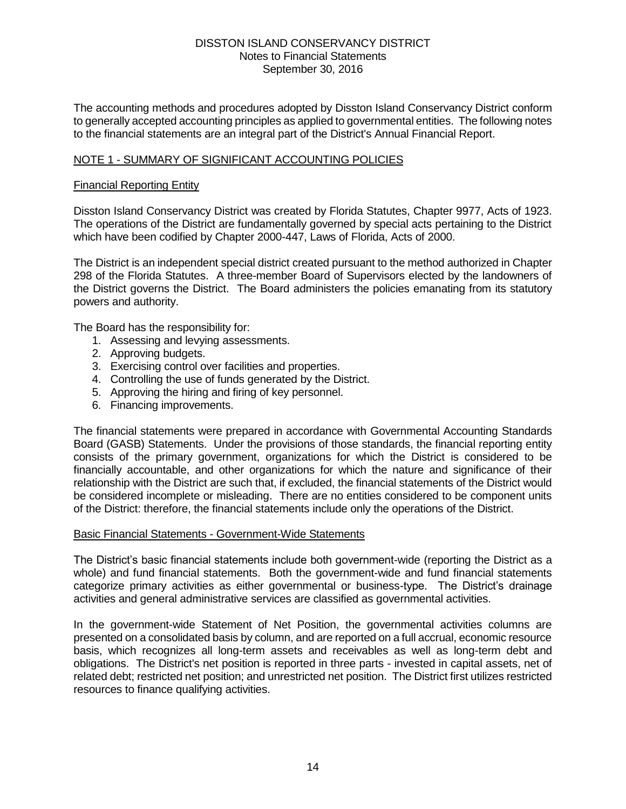The accounting methods and procedures adopted by Disston Island Conservancy District conform to generally accepted accounting principles as applied to governmental entities. The following notes to the financial statements are an integral part of the District's Annual Financial Report.

#### NOTE 1 - SUMMARY OF SIGNIFICANT ACCOUNTING POLICIES

#### Financial Reporting Entity

Disston Island Conservancy District was created by Florida Statutes, Chapter 9977, Acts of 1923. The operations of the District are fundamentally governed by special acts pertaining to the District which have been codified by Chapter 2000-447, Laws of Florida, Acts of 2000.

The District is an independent special district created pursuant to the method authorized in Chapter 298 of the Florida Statutes. A three-member Board of Supervisors elected by the landowners of the District governs the District. The Board administers the policies emanating from its statutory powers and authority.

The Board has the responsibility for:

- 1. Assessing and levying assessments.
- 2. Approving budgets.
- 3. Exercising control over facilities and properties.
- 4. Controlling the use of funds generated by the District.
- 5. Approving the hiring and firing of key personnel.
- 6. Financing improvements.

The financial statements were prepared in accordance with Governmental Accounting Standards Board (GASB) Statements. Under the provisions of those standards, the financial reporting entity consists of the primary government, organizations for which the District is considered to be financially accountable, and other organizations for which the nature and significance of their relationship with the District are such that, if excluded, the financial statements of the District would be considered incomplete or misleading. There are no entities considered to be component units of the District: therefore, the financial statements include only the operations of the District.

#### Basic Financial Statements - Government-Wide Statements

The District's basic financial statements include both government-wide (reporting the District as a whole) and fund financial statements. Both the government-wide and fund financial statements categorize primary activities as either governmental or business-type. The District's drainage activities and general administrative services are classified as governmental activities.

In the government-wide Statement of Net Position, the governmental activities columns are presented on a consolidated basis by column, and are reported on a full accrual, economic resource basis, which recognizes all long-term assets and receivables as well as long-term debt and obligations. The District's net position is reported in three parts - invested in capital assets, net of related debt; restricted net position; and unrestricted net position. The District first utilizes restricted resources to finance qualifying activities.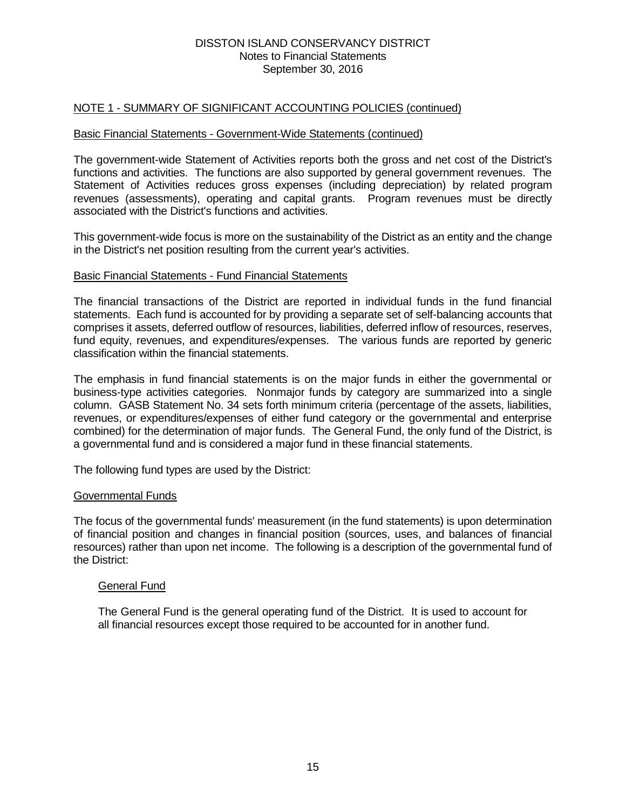#### NOTE 1 - SUMMARY OF SIGNIFICANT ACCOUNTING POLICIES (continued)

#### Basic Financial Statements - Government-Wide Statements (continued)

The government-wide Statement of Activities reports both the gross and net cost of the District's functions and activities. The functions are also supported by general government revenues. The Statement of Activities reduces gross expenses (including depreciation) by related program revenues (assessments), operating and capital grants. Program revenues must be directly associated with the District's functions and activities.

This government-wide focus is more on the sustainability of the District as an entity and the change in the District's net position resulting from the current year's activities.

#### Basic Financial Statements - Fund Financial Statements

The financial transactions of the District are reported in individual funds in the fund financial statements. Each fund is accounted for by providing a separate set of self-balancing accounts that comprises it assets, deferred outflow of resources, liabilities, deferred inflow of resources, reserves, fund equity, revenues, and expenditures/expenses. The various funds are reported by generic classification within the financial statements.

The emphasis in fund financial statements is on the major funds in either the governmental or business-type activities categories. Nonmajor funds by category are summarized into a single column. GASB Statement No. 34 sets forth minimum criteria (percentage of the assets, liabilities, revenues, or expenditures/expenses of either fund category or the governmental and enterprise combined) for the determination of major funds. The General Fund, the only fund of the District, is a governmental fund and is considered a major fund in these financial statements.

The following fund types are used by the District:

#### Governmental Funds

The focus of the governmental funds' measurement (in the fund statements) is upon determination of financial position and changes in financial position (sources, uses, and balances of financial resources) rather than upon net income. The following is a description of the governmental fund of the District:

#### General Fund

The General Fund is the general operating fund of the District. It is used to account for all financial resources except those required to be accounted for in another fund.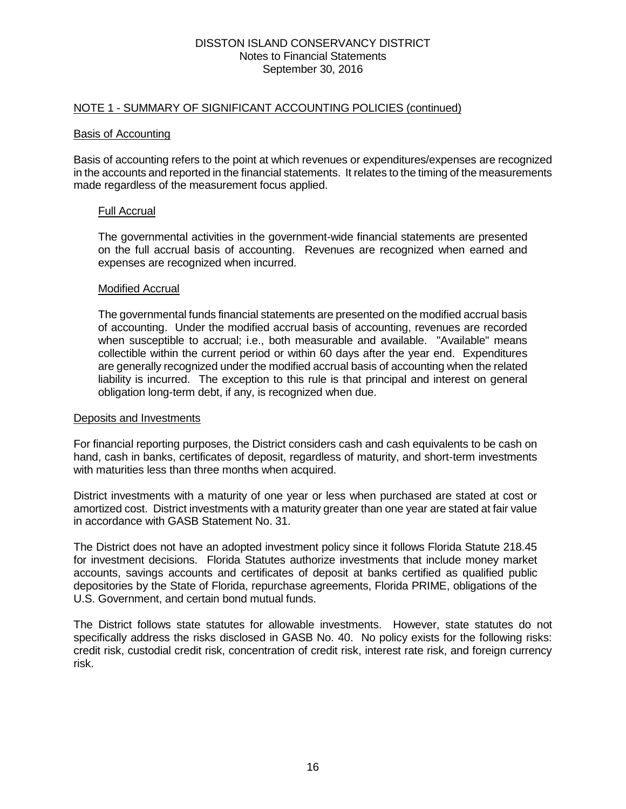#### NOTE 1 - SUMMARY OF SIGNIFICANT ACCOUNTING POLICIES (continued)

#### Basis of Accounting

Basis of accounting refers to the point at which revenues or expenditures/expenses are recognized in the accounts and reported in the financial statements. It relates to the timing of the measurements made regardless of the measurement focus applied.

#### Full Accrual

The governmental activities in the government-wide financial statements are presented on the full accrual basis of accounting. Revenues are recognized when earned and expenses are recognized when incurred.

#### Modified Accrual

The governmental funds financial statements are presented on the modified accrual basis of accounting. Under the modified accrual basis of accounting, revenues are recorded when susceptible to accrual; i.e., both measurable and available. "Available" means collectible within the current period or within 60 days after the year end. Expenditures are generally recognized under the modified accrual basis of accounting when the related liability is incurred. The exception to this rule is that principal and interest on general obligation long-term debt, if any, is recognized when due.

#### Deposits and Investments

For financial reporting purposes, the District considers cash and cash equivalents to be cash on hand, cash in banks, certificates of deposit, regardless of maturity, and short-term investments with maturities less than three months when acquired.

District investments with a maturity of one year or less when purchased are stated at cost or amortized cost. District investments with a maturity greater than one year are stated at fair value in accordance with GASB Statement No. 31.

The District does not have an adopted investment policy since it follows Florida Statute 218.45 for investment decisions. Florida Statutes authorize investments that include money market accounts, savings accounts and certificates of deposit at banks certified as qualified public depositories by the State of Florida, repurchase agreements, Florida PRIME, obligations of the U.S. Government, and certain bond mutual funds.

The District follows state statutes for allowable investments. However, state statutes do not specifically address the risks disclosed in GASB No. 40. No policy exists for the following risks: credit risk, custodial credit risk, concentration of credit risk, interest rate risk, and foreign currency risk.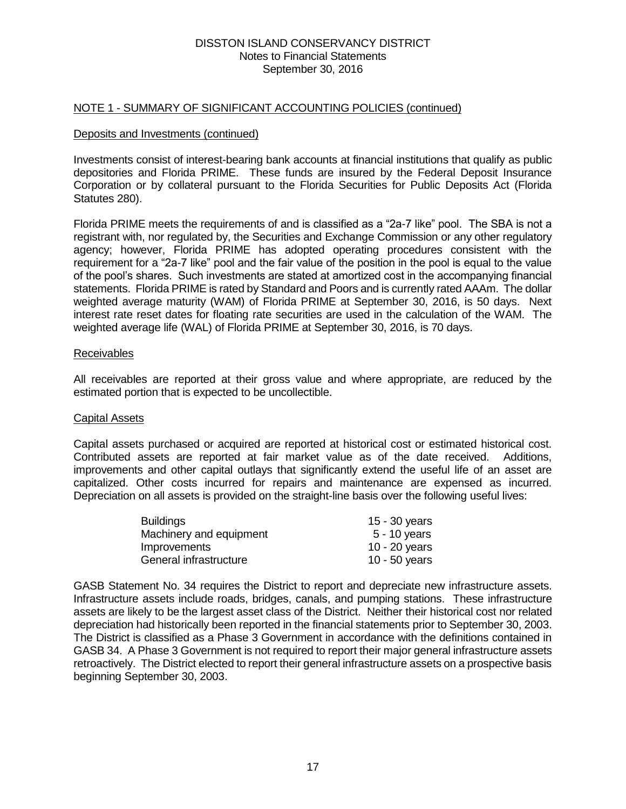#### NOTE 1 - SUMMARY OF SIGNIFICANT ACCOUNTING POLICIES (continued)

#### Deposits and Investments (continued)

Investments consist of interest-bearing bank accounts at financial institutions that qualify as public depositories and Florida PRIME. These funds are insured by the Federal Deposit Insurance Corporation or by collateral pursuant to the Florida Securities for Public Deposits Act (Florida Statutes 280).

Florida PRIME meets the requirements of and is classified as a "2a-7 like" pool. The SBA is not a registrant with, nor regulated by, the Securities and Exchange Commission or any other regulatory agency; however, Florida PRIME has adopted operating procedures consistent with the requirement for a "2a-7 like" pool and the fair value of the position in the pool is equal to the value of the pool's shares. Such investments are stated at amortized cost in the accompanying financial statements. Florida PRIME is rated by Standard and Poors and is currently rated AAAm. The dollar weighted average maturity (WAM) of Florida PRIME at September 30, 2016, is 50 days. Next interest rate reset dates for floating rate securities are used in the calculation of the WAM. The weighted average life (WAL) of Florida PRIME at September 30, 2016, is 70 days.

#### Receivables

All receivables are reported at their gross value and where appropriate, are reduced by the estimated portion that is expected to be uncollectible.

#### Capital Assets

Capital assets purchased or acquired are reported at historical cost or estimated historical cost. Contributed assets are reported at fair market value as of the date received. Additions, improvements and other capital outlays that significantly extend the useful life of an asset are capitalized. Other costs incurred for repairs and maintenance are expensed as incurred. Depreciation on all assets is provided on the straight-line basis over the following useful lives:

| <b>Buildings</b>        | 15 - 30 years  |
|-------------------------|----------------|
| Machinery and equipment | $5 - 10$ years |
| Improvements            | 10 - 20 years  |
| General infrastructure  | 10 - 50 years  |

GASB Statement No. 34 requires the District to report and depreciate new infrastructure assets. Infrastructure assets include roads, bridges, canals, and pumping stations. These infrastructure assets are likely to be the largest asset class of the District. Neither their historical cost nor related depreciation had historically been reported in the financial statements prior to September 30, 2003. The District is classified as a Phase 3 Government in accordance with the definitions contained in GASB 34. A Phase 3 Government is not required to report their major general infrastructure assets retroactively. The District elected to report their general infrastructure assets on a prospective basis beginning September 30, 2003.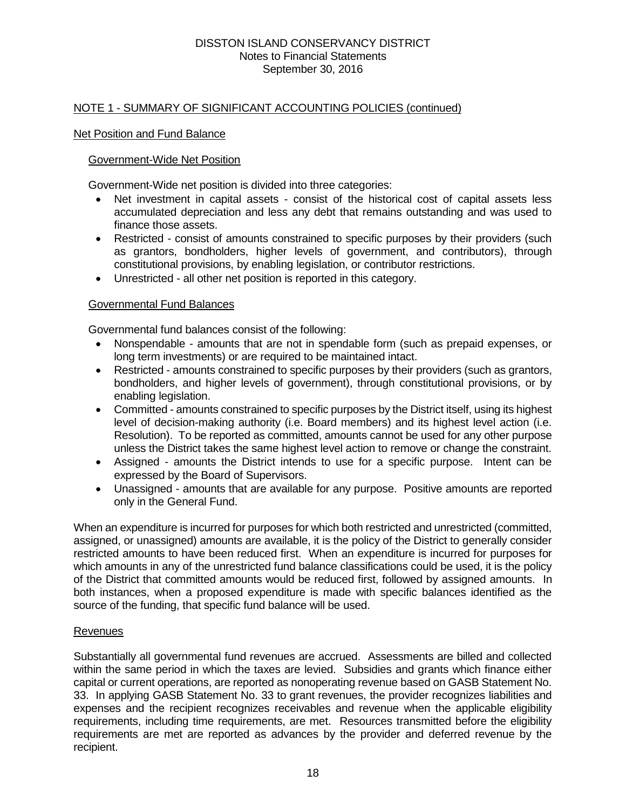#### NOTE 1 - SUMMARY OF SIGNIFICANT ACCOUNTING POLICIES (continued)

#### Net Position and Fund Balance

#### Government-Wide Net Position

Government-Wide net position is divided into three categories:

- Net investment in capital assets consist of the historical cost of capital assets less accumulated depreciation and less any debt that remains outstanding and was used to finance those assets.
- Restricted consist of amounts constrained to specific purposes by their providers (such as grantors, bondholders, higher levels of government, and contributors), through constitutional provisions, by enabling legislation, or contributor restrictions.
- Unrestricted all other net position is reported in this category.

#### Governmental Fund Balances

Governmental fund balances consist of the following:

- Nonspendable amounts that are not in spendable form (such as prepaid expenses, or long term investments) or are required to be maintained intact.
- Restricted amounts constrained to specific purposes by their providers (such as grantors, bondholders, and higher levels of government), through constitutional provisions, or by enabling legislation.
- Committed amounts constrained to specific purposes by the District itself, using its highest level of decision-making authority (i.e. Board members) and its highest level action (i.e. Resolution). To be reported as committed, amounts cannot be used for any other purpose unless the District takes the same highest level action to remove or change the constraint.
- Assigned amounts the District intends to use for a specific purpose. Intent can be expressed by the Board of Supervisors.
- Unassigned amounts that are available for any purpose. Positive amounts are reported only in the General Fund.

When an expenditure is incurred for purposes for which both restricted and unrestricted (committed, assigned, or unassigned) amounts are available, it is the policy of the District to generally consider restricted amounts to have been reduced first. When an expenditure is incurred for purposes for which amounts in any of the unrestricted fund balance classifications could be used, it is the policy of the District that committed amounts would be reduced first, followed by assigned amounts. In both instances, when a proposed expenditure is made with specific balances identified as the source of the funding, that specific fund balance will be used.

#### Revenues

Substantially all governmental fund revenues are accrued. Assessments are billed and collected within the same period in which the taxes are levied. Subsidies and grants which finance either capital or current operations, are reported as nonoperating revenue based on GASB Statement No. 33. In applying GASB Statement No. 33 to grant revenues, the provider recognizes liabilities and expenses and the recipient recognizes receivables and revenue when the applicable eligibility requirements, including time requirements, are met. Resources transmitted before the eligibility requirements are met are reported as advances by the provider and deferred revenue by the recipient.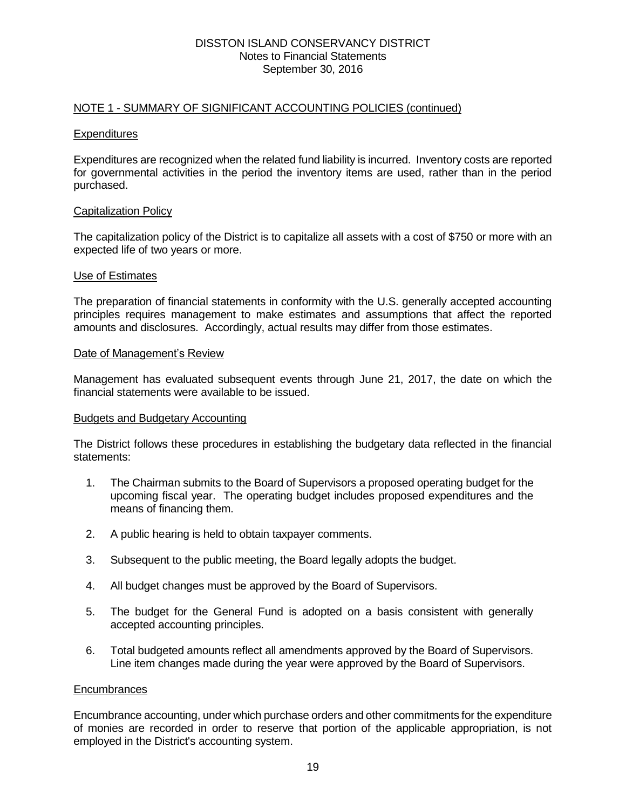#### NOTE 1 - SUMMARY OF SIGNIFICANT ACCOUNTING POLICIES (continued)

#### **Expenditures**

Expenditures are recognized when the related fund liability is incurred. Inventory costs are reported for governmental activities in the period the inventory items are used, rather than in the period purchased.

#### Capitalization Policy

The capitalization policy of the District is to capitalize all assets with a cost of \$750 or more with an expected life of two years or more.

#### Use of Estimates

The preparation of financial statements in conformity with the U.S. generally accepted accounting principles requires management to make estimates and assumptions that affect the reported amounts and disclosures. Accordingly, actual results may differ from those estimates.

#### Date of Management's Review

Management has evaluated subsequent events through June 21, 2017, the date on which the financial statements were available to be issued.

#### Budgets and Budgetary Accounting

The District follows these procedures in establishing the budgetary data reflected in the financial statements:

- 1. The Chairman submits to the Board of Supervisors a proposed operating budget for the upcoming fiscal year. The operating budget includes proposed expenditures and the means of financing them.
- 2. A public hearing is held to obtain taxpayer comments.
- 3. Subsequent to the public meeting, the Board legally adopts the budget.
- 4. All budget changes must be approved by the Board of Supervisors.
- 5. The budget for the General Fund is adopted on a basis consistent with generally accepted accounting principles.
- 6. Total budgeted amounts reflect all amendments approved by the Board of Supervisors. Line item changes made during the year were approved by the Board of Supervisors.

#### **Encumbrances**

Encumbrance accounting, under which purchase orders and other commitments for the expenditure of monies are recorded in order to reserve that portion of the applicable appropriation, is not employed in the District's accounting system.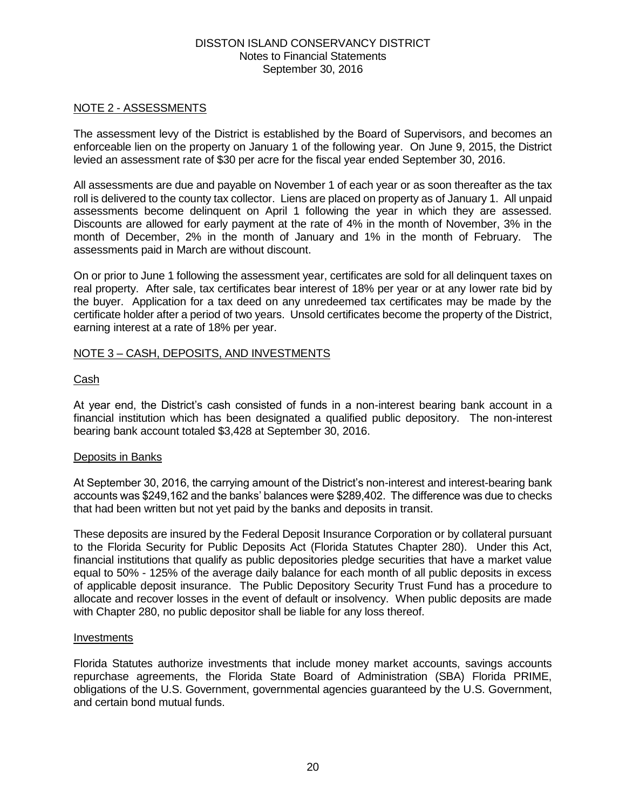#### NOTE 2 - ASSESSMENTS

The assessment levy of the District is established by the Board of Supervisors, and becomes an enforceable lien on the property on January 1 of the following year. On June 9, 2015, the District levied an assessment rate of \$30 per acre for the fiscal year ended September 30, 2016.

All assessments are due and payable on November 1 of each year or as soon thereafter as the tax roll is delivered to the county tax collector. Liens are placed on property as of January 1. All unpaid assessments become delinquent on April 1 following the year in which they are assessed. Discounts are allowed for early payment at the rate of 4% in the month of November, 3% in the month of December, 2% in the month of January and 1% in the month of February. The assessments paid in March are without discount.

On or prior to June 1 following the assessment year, certificates are sold for all delinquent taxes on real property. After sale, tax certificates bear interest of 18% per year or at any lower rate bid by the buyer. Application for a tax deed on any unredeemed tax certificates may be made by the certificate holder after a period of two years. Unsold certificates become the property of the District, earning interest at a rate of 18% per year.

#### NOTE 3 – CASH, DEPOSITS, AND INVESTMENTS

#### Cash

At year end, the District's cash consisted of funds in a non-interest bearing bank account in a financial institution which has been designated a qualified public depository. The non-interest bearing bank account totaled \$3,428 at September 30, 2016.

#### Deposits in Banks

At September 30, 2016, the carrying amount of the District's non-interest and interest-bearing bank accounts was \$249,162 and the banks' balances were \$289,402. The difference was due to checks that had been written but not yet paid by the banks and deposits in transit.

These deposits are insured by the Federal Deposit Insurance Corporation or by collateral pursuant to the Florida Security for Public Deposits Act (Florida Statutes Chapter 280). Under this Act, financial institutions that qualify as public depositories pledge securities that have a market value equal to 50% - 125% of the average daily balance for each month of all public deposits in excess of applicable deposit insurance. The Public Depository Security Trust Fund has a procedure to allocate and recover losses in the event of default or insolvency. When public deposits are made with Chapter 280, no public depositor shall be liable for any loss thereof.

#### Investments

Florida Statutes authorize investments that include money market accounts, savings accounts repurchase agreements, the Florida State Board of Administration (SBA) Florida PRIME, obligations of the U.S. Government, governmental agencies guaranteed by the U.S. Government, and certain bond mutual funds.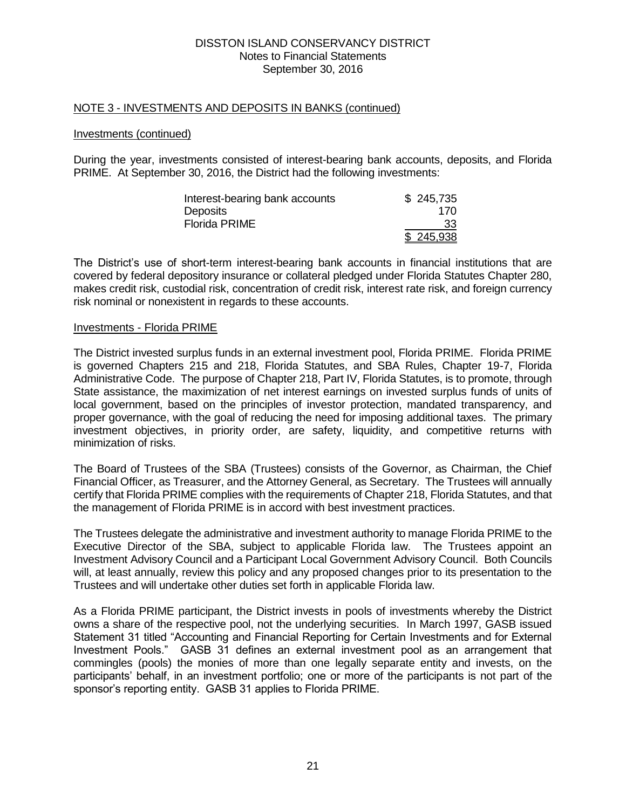#### NOTE 3 - INVESTMENTS AND DEPOSITS IN BANKS (continued)

#### Investments (continued)

During the year, investments consisted of interest-bearing bank accounts, deposits, and Florida PRIME. At September 30, 2016, the District had the following investments:

| Interest-bearing bank accounts | \$245,735 |
|--------------------------------|-----------|
| Deposits                       | 170       |
| Florida PRIME                  | -33       |
|                                | \$245,938 |

The District's use of short-term interest-bearing bank accounts in financial institutions that are covered by federal depository insurance or collateral pledged under Florida Statutes Chapter 280, makes credit risk, custodial risk, concentration of credit risk, interest rate risk, and foreign currency risk nominal or nonexistent in regards to these accounts.

#### Investments - Florida PRIME

The District invested surplus funds in an external investment pool, Florida PRIME. Florida PRIME is governed Chapters 215 and 218, Florida Statutes, and SBA Rules, Chapter 19-7, Florida Administrative Code. The purpose of Chapter 218, Part IV, Florida Statutes, is to promote, through State assistance, the maximization of net interest earnings on invested surplus funds of units of local government, based on the principles of investor protection, mandated transparency, and proper governance, with the goal of reducing the need for imposing additional taxes. The primary investment objectives, in priority order, are safety, liquidity, and competitive returns with minimization of risks.

The Board of Trustees of the SBA (Trustees) consists of the Governor, as Chairman, the Chief Financial Officer, as Treasurer, and the Attorney General, as Secretary. The Trustees will annually certify that Florida PRIME complies with the requirements of Chapter 218, Florida Statutes, and that the management of Florida PRIME is in accord with best investment practices.

The Trustees delegate the administrative and investment authority to manage Florida PRIME to the Executive Director of the SBA, subject to applicable Florida law. The Trustees appoint an Investment Advisory Council and a Participant Local Government Advisory Council. Both Councils will, at least annually, review this policy and any proposed changes prior to its presentation to the Trustees and will undertake other duties set forth in applicable Florida law.

As a Florida PRIME participant, the District invests in pools of investments whereby the District owns a share of the respective pool, not the underlying securities. In March 1997, GASB issued Statement 31 titled "Accounting and Financial Reporting for Certain Investments and for External Investment Pools." GASB 31 defines an external investment pool as an arrangement that commingles (pools) the monies of more than one legally separate entity and invests, on the participants' behalf, in an investment portfolio; one or more of the participants is not part of the sponsor's reporting entity. GASB 31 applies to Florida PRIME.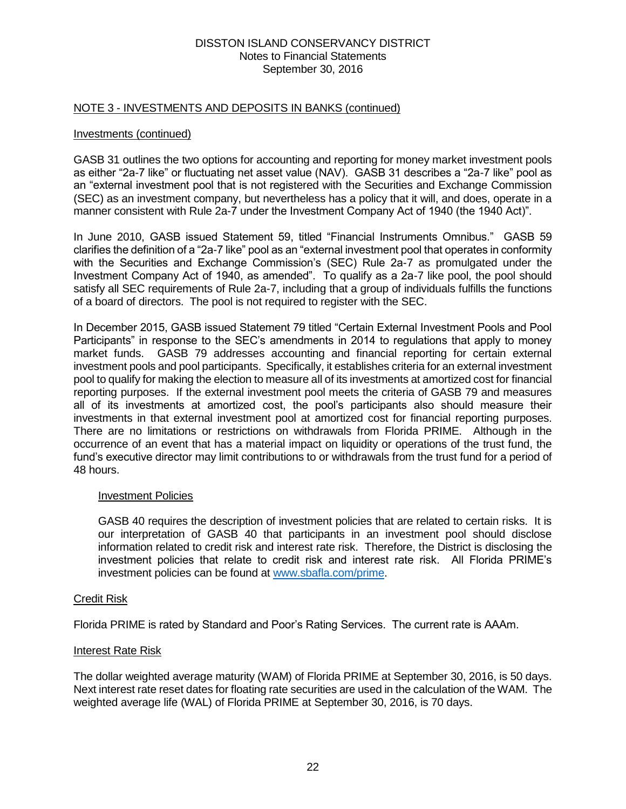#### NOTE 3 - INVESTMENTS AND DEPOSITS IN BANKS (continued)

#### Investments (continued)

GASB 31 outlines the two options for accounting and reporting for money market investment pools as either "2a-7 like" or fluctuating net asset value (NAV). GASB 31 describes a "2a-7 like" pool as an "external investment pool that is not registered with the Securities and Exchange Commission (SEC) as an investment company, but nevertheless has a policy that it will, and does, operate in a manner consistent with Rule 2a-7 under the Investment Company Act of 1940 (the 1940 Act)".

In June 2010, GASB issued Statement 59, titled "Financial Instruments Omnibus." GASB 59 clarifies the definition of a "2a-7 like" pool as an "external investment pool that operates in conformity with the Securities and Exchange Commission's (SEC) Rule 2a-7 as promulgated under the Investment Company Act of 1940, as amended". To qualify as a 2a-7 like pool, the pool should satisfy all SEC requirements of Rule 2a-7, including that a group of individuals fulfills the functions of a board of directors. The pool is not required to register with the SEC.

In December 2015, GASB issued Statement 79 titled "Certain External Investment Pools and Pool Participants" in response to the SEC's amendments in 2014 to regulations that apply to money market funds. GASB 79 addresses accounting and financial reporting for certain external investment pools and pool participants. Specifically, it establishes criteria for an external investment pool to qualify for making the election to measure all of its investments at amortized cost for financial reporting purposes. If the external investment pool meets the criteria of GASB 79 and measures all of its investments at amortized cost, the pool's participants also should measure their investments in that external investment pool at amortized cost for financial reporting purposes. There are no limitations or restrictions on withdrawals from Florida PRIME. Although in the occurrence of an event that has a material impact on liquidity or operations of the trust fund, the fund's executive director may limit contributions to or withdrawals from the trust fund for a period of 48 hours.

#### Investment Policies

GASB 40 requires the description of investment policies that are related to certain risks. It is our interpretation of GASB 40 that participants in an investment pool should disclose information related to credit risk and interest rate risk. Therefore, the District is disclosing the investment policies that relate to credit risk and interest rate risk. All Florida PRIME's investment policies can be found at [www.sbafla.com/prime.](http://www.sbafla.com/prime)

#### Credit Risk

Florida PRIME is rated by Standard and Poor's Rating Services. The current rate is AAAm.

#### Interest Rate Risk

The dollar weighted average maturity (WAM) of Florida PRIME at September 30, 2016, is 50 days. Next interest rate reset dates for floating rate securities are used in the calculation of the WAM. The weighted average life (WAL) of Florida PRIME at September 30, 2016, is 70 days.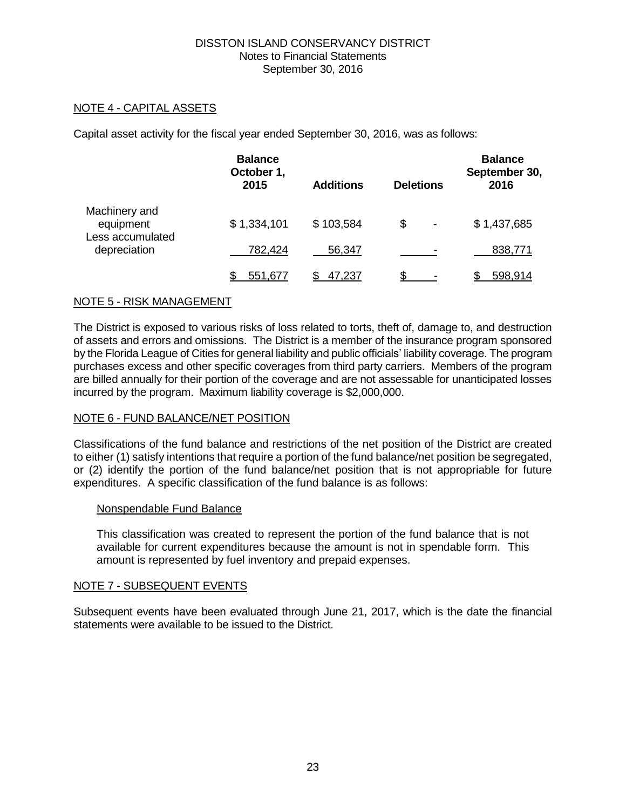#### NOTE 4 - CAPITAL ASSETS

Capital asset activity for the fiscal year ended September 30, 2016, was as follows:

|                                                | <b>Balance</b><br>October 1,<br>2015 | <b>Additions</b> | <b>Deletions</b>     | <b>Balance</b><br>September 30,<br>2016 |
|------------------------------------------------|--------------------------------------|------------------|----------------------|-----------------------------------------|
| Machinery and<br>equipment<br>Less accumulated | \$1,334,101                          | \$103,584        | \$<br>$\blacksquare$ | \$1,437,685                             |
| depreciation                                   | 782,424                              | 56,347           |                      | 838,771                                 |
|                                                | 551,677                              | 47,237           |                      | 598,914                                 |

#### NOTE 5 - RISK MANAGEMENT

The District is exposed to various risks of loss related to torts, theft of, damage to, and destruction of assets and errors and omissions. The District is a member of the insurance program sponsored by the Florida League of Cities for general liability and public officials' liability coverage. The program purchases excess and other specific coverages from third party carriers. Members of the program are billed annually for their portion of the coverage and are not assessable for unanticipated losses incurred by the program. Maximum liability coverage is \$2,000,000.

#### NOTE 6 - FUND BALANCE/NET POSITION

Classifications of the fund balance and restrictions of the net position of the District are created to either (1) satisfy intentions that require a portion of the fund balance/net position be segregated, or (2) identify the portion of the fund balance/net position that is not appropriable for future expenditures. A specific classification of the fund balance is as follows:

#### Nonspendable Fund Balance

This classification was created to represent the portion of the fund balance that is not available for current expenditures because the amount is not in spendable form. This amount is represented by fuel inventory and prepaid expenses.

#### NOTE 7 - SUBSEQUENT EVENTS

Subsequent events have been evaluated through June 21, 2017, which is the date the financial statements were available to be issued to the District.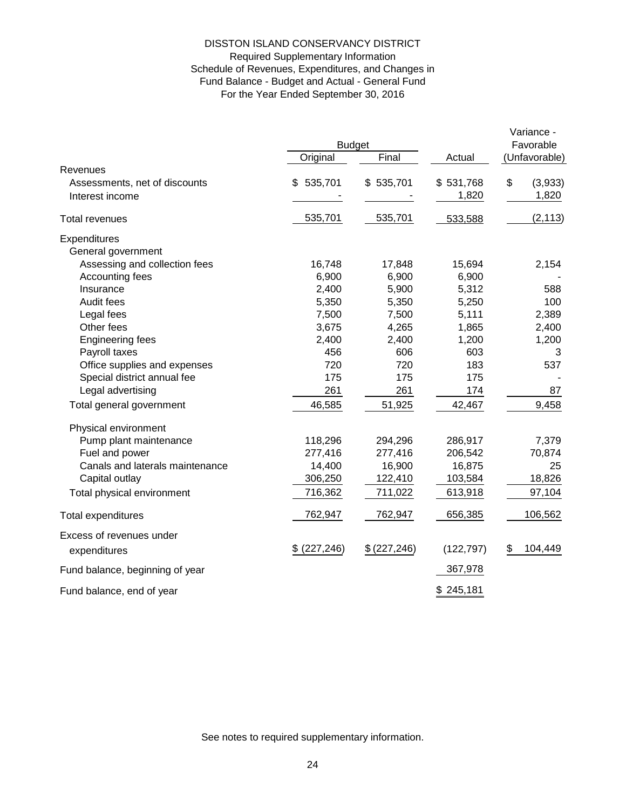#### For the Year Ended September 30, 2016 DISSTON ISLAND CONSERVANCY DISTRICT Schedule of Revenues, Expenditures, and Changes in Fund Balance - Budget and Actual - General Fund Required Supplementary Information

|                                 | <b>Budget</b> |               |            | Variance -<br>Favorable |  |
|---------------------------------|---------------|---------------|------------|-------------------------|--|
|                                 | Original      | Final         | Actual     | (Unfavorable)           |  |
| Revenues                        |               |               |            |                         |  |
| Assessments, net of discounts   | 535,701<br>\$ | \$535,701     | \$531,768  | \$<br>(3,933)           |  |
| Interest income                 |               |               | 1,820      | 1,820                   |  |
| <b>Total revenues</b>           | 535,701       | 535,701       | 533,588    | (2, 113)                |  |
| Expenditures                    |               |               |            |                         |  |
| General government              |               |               |            |                         |  |
| Assessing and collection fees   | 16,748        | 17,848        | 15,694     | 2,154                   |  |
| Accounting fees                 | 6,900         | 6,900         | 6,900      |                         |  |
| Insurance                       | 2,400         | 5,900         | 5,312      | 588                     |  |
| Audit fees                      | 5,350         | 5,350         | 5,250      | 100                     |  |
| Legal fees                      | 7,500         | 7,500         | 5,111      | 2,389                   |  |
| Other fees                      | 3,675         | 4,265         | 1,865      | 2,400                   |  |
| <b>Engineering fees</b>         | 2,400         | 2,400         | 1,200      | 1,200                   |  |
| Payroll taxes                   | 456           | 606           | 603        | 3                       |  |
| Office supplies and expenses    | 720           | 720           | 183        | 537                     |  |
| Special district annual fee     | 175           | 175           | 175        |                         |  |
| Legal advertising               | 261           | 261           | 174        | 87                      |  |
| Total general government        | 46,585        | 51,925        | 42,467     | 9,458                   |  |
| Physical environment            |               |               |            |                         |  |
| Pump plant maintenance          | 118,296       | 294,296       | 286,917    | 7,379                   |  |
| Fuel and power                  | 277,416       | 277,416       | 206,542    | 70,874                  |  |
| Canals and laterals maintenance | 14,400        | 16,900        | 16,875     | 25                      |  |
| Capital outlay                  | 306,250       | 122,410       | 103,584    | 18,826                  |  |
| Total physical environment      | 716,362       | 711,022       | 613,918    | 97,104                  |  |
| Total expenditures              | 762,947       | 762,947       | 656,385    | 106,562                 |  |
| Excess of revenues under        |               |               |            |                         |  |
| expenditures                    | \$ (227, 246) | \$ (227, 246) | (122, 797) | \$<br>104,449           |  |
| Fund balance, beginning of year |               |               | 367,978    |                         |  |
| Fund balance, end of year       |               |               | \$245,181  |                         |  |

See notes to required supplementary information.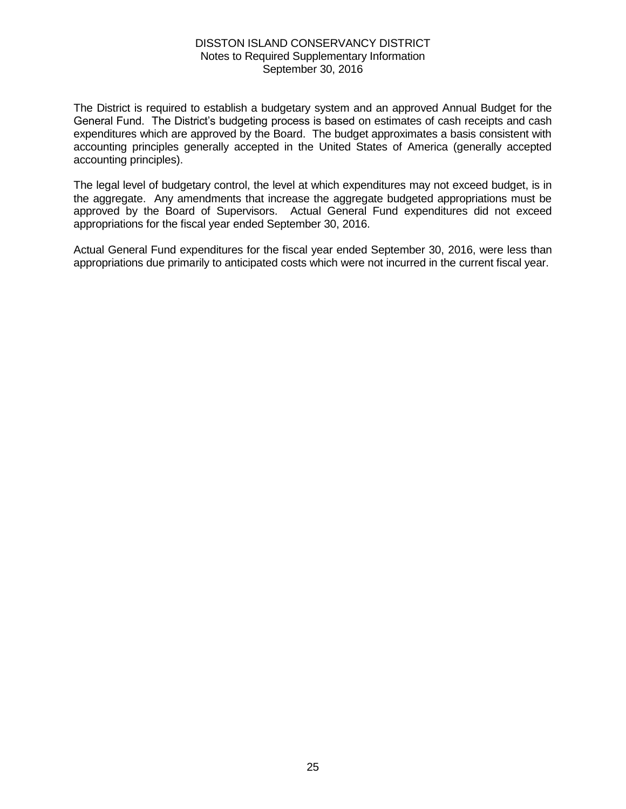#### DISSTON ISLAND CONSERVANCY DISTRICT Notes to Required Supplementary Information September 30, 2016

The District is required to establish a budgetary system and an approved Annual Budget for the General Fund. The District's budgeting process is based on estimates of cash receipts and cash expenditures which are approved by the Board. The budget approximates a basis consistent with accounting principles generally accepted in the United States of America (generally accepted accounting principles).

The legal level of budgetary control, the level at which expenditures may not exceed budget, is in the aggregate. Any amendments that increase the aggregate budgeted appropriations must be approved by the Board of Supervisors. Actual General Fund expenditures did not exceed appropriations for the fiscal year ended September 30, 2016.

Actual General Fund expenditures for the fiscal year ended September 30, 2016, were less than appropriations due primarily to anticipated costs which were not incurred in the current fiscal year.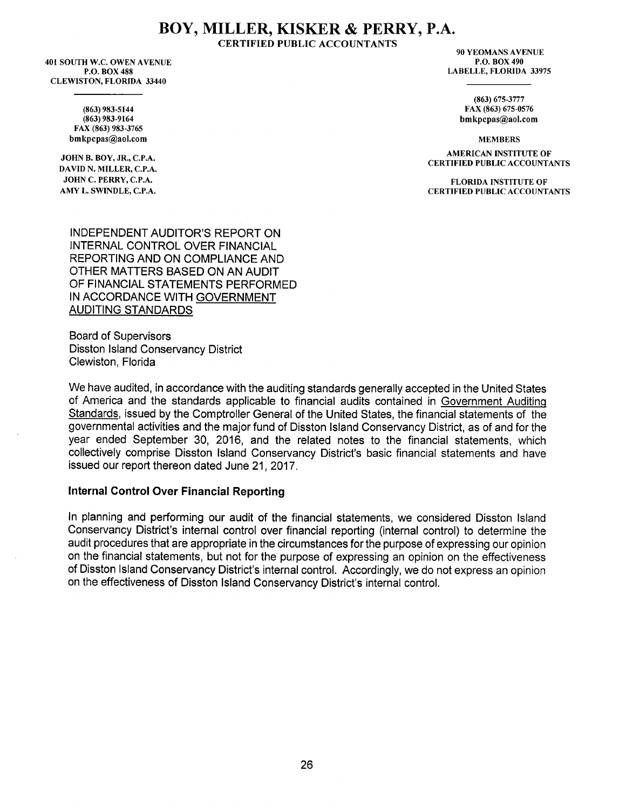## BOY, MILLER, KISKER & PERRY, P.A. **CERTIFIED PUBLIC ACCOUNTANTS**

**401 SOUTH W.C. OWEN AVENUE P.O. BOX 488 CLEWISTON, FLORIDA 33440** 

**90 YEOMANS AVENUE** P.O. BOX 490 **LABELLE, FLORIDA 33975** 

 $(863) 675 - 3777$ FAX (863) 675-0576 bmkpcpas@aol.com

**MEMBERS** 

**AMERICAN INSTITUTE OF CERTIFIED PUBLIC ACCOUNTANTS** 

**FLORIDA INSTITUTE OF CERTIFIED PUBLIC ACCOUNTANTS** 

(863) 983-5144  $(863)$  983-9164 FAX (863) 983-3765 bmkpcpas@aol.com

JOHN B. BOY, JR., C.P.A. DAVID N. MILLER, C.P.A. JOHN C. PERRY, C.P.A. AMY L. SWINDLE, C.P.A.

**INDEPENDENT AUDITOR'S REPORT ON** INTERNAL CONTROL OVER FINANCIAL REPORTING AND ON COMPLIANCE AND OTHER MATTERS BASED ON AN AUDIT OF FINANCIAL STATEMENTS PERFORMED IN ACCORDANCE WITH GOVERNMENT **AUDITING STANDARDS** 

**Board of Supervisors Disston Island Conservancy District** Clewiston, Florida

We have audited, in accordance with the auditing standards generally accepted in the United States of America and the standards applicable to financial audits contained in Government Auditing Standards, issued by the Comptroller General of the United States, the financial statements of the governmental activities and the major fund of Disston Island Conservancy District, as of and for the year ended September 30, 2016, and the related notes to the financial statements, which collectively comprise Disston Island Conservancy District's basic financial statements and have issued our report thereon dated June 21, 2017.

#### **Internal Control Over Financial Reporting**

In planning and performing our audit of the financial statements, we considered Disston Island Conservancy District's internal control over financial reporting (internal control) to determine the audit procedures that are appropriate in the circumstances for the purpose of expressing our opinion on the financial statements, but not for the purpose of expressing an opinion on the effectiveness of Disston Island Conservancy District's internal control. Accordingly, we do not express an opinion on the effectiveness of Disston Island Conservancy District's internal control.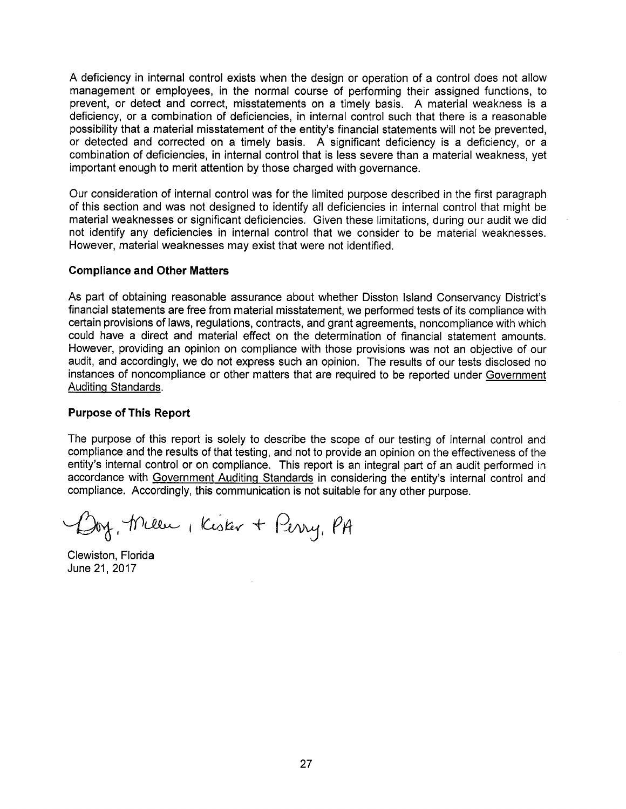A deficiency in internal control exists when the design or operation of a control does not allow management or employees, in the normal course of performing their assigned functions, to prevent, or detect and correct, misstatements on a timely basis. A material weakness is a deficiency, or a combination of deficiencies, in internal control such that there is a reasonable possibility that a material misstatement of the entity's financial statements will not be prevented, or detected and corrected on a timely basis. A significant deficiency is a deficiency, or a combination of deficiencies, in internal control that is less severe than a material weakness, yet important enough to merit attention by those charged with governance.

Our consideration of internal control was for the limited purpose described in the first paragraph of this section and was not designed to identify all deficiencies in internal control that might be material weaknesses or significant deficiencies. Given these limitations, during our audit we did not identify any deficiencies in internal control that we consider to be material weaknesses. However, material weaknesses may exist that were not identified.

#### **Compliance and Other Matters**

As part of obtaining reasonable assurance about whether Disston Island Conservancy District's financial statements are free from material misstatement, we performed tests of its compliance with certain provisions of laws, regulations, contracts, and grant agreements, noncompliance with which could have a direct and material effect on the determination of financial statement amounts. However, providing an opinion on compliance with those provisions was not an objective of our audit, and accordingly, we do not express such an opinion. The results of our tests disclosed no instances of noncompliance or other matters that are required to be reported under Government Auditing Standards.

## **Purpose of This Report**

The purpose of this report is solely to describe the scope of our testing of internal control and compliance and the results of that testing, and not to provide an opinion on the effectiveness of the entity's internal control or on compliance. This report is an integral part of an audit performed in accordance with Government Auditing Standards in considering the entity's internal control and compliance. Accordingly, this communication is not suitable for any other purpose.

Boy, Miller, Kisker + Perry, PA

Clewiston, Florida June 21, 2017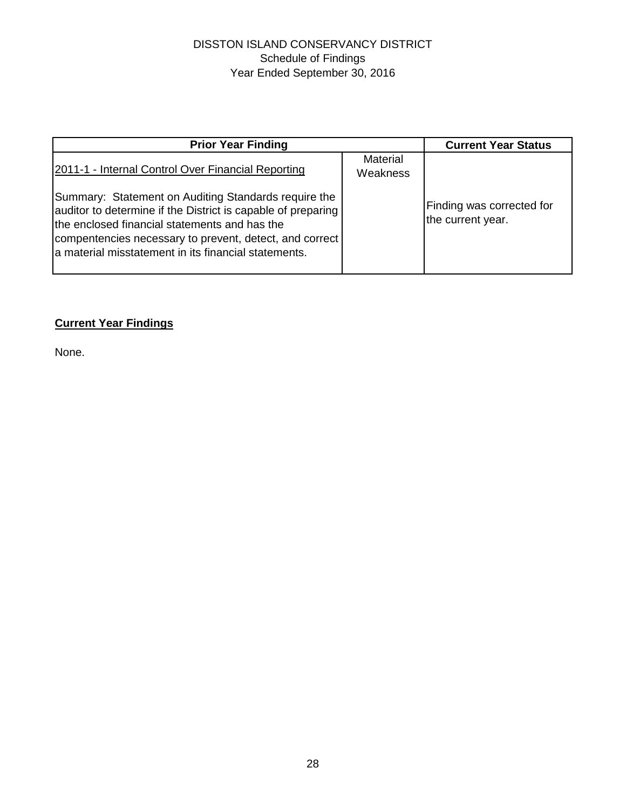## DISSTON ISLAND CONSERVANCY DISTRICT Schedule of Findings Year Ended September 30, 2016

| <b>Prior Year Finding</b>                                                                                                                                                                                                                                                                |                      | <b>Current Year Status</b>                     |
|------------------------------------------------------------------------------------------------------------------------------------------------------------------------------------------------------------------------------------------------------------------------------------------|----------------------|------------------------------------------------|
| 2011-1 - Internal Control Over Financial Reporting                                                                                                                                                                                                                                       | Material<br>Weakness |                                                |
| Summary: Statement on Auditing Standards require the<br>auditor to determine if the District is capable of preparing<br>the enclosed financial statements and has the<br>compentencies necessary to prevent, detect, and correct<br>a material misstatement in its financial statements. |                      | Finding was corrected for<br>the current year. |

## **Current Year Findings**

None.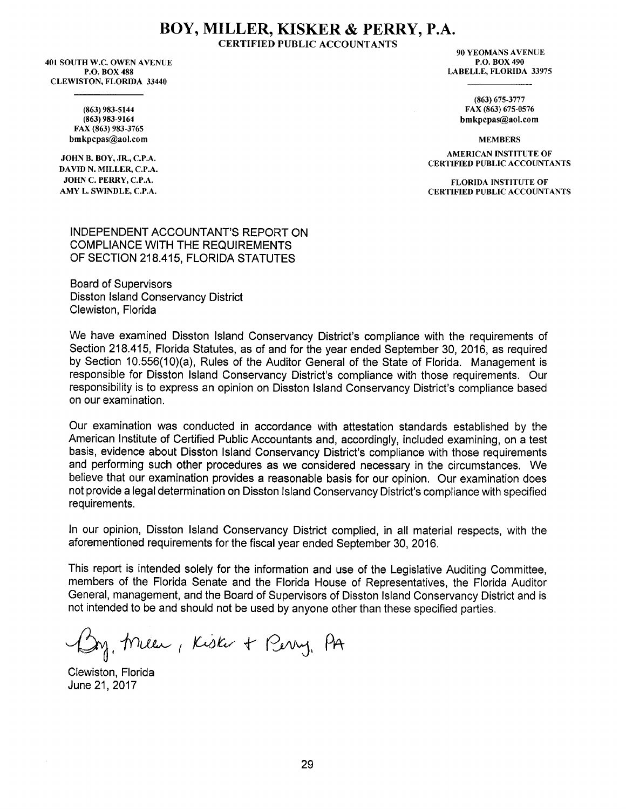# BOY, MILLER, KISKER & PERRY, P.A.

**CERTIFIED PUBLIC ACCOUNTANTS** 

401 SOUTH W.C. OWEN AVENUE P.O. BOX 488 **CLEWISTON, FLORIDA 33440** 

90 YEOMANS AVENUE P.O. BOX 490 **LABELLE, FLORIDA 33975** 

(863) 675-3777 FAX (863) 675-0576 bmkpcpas@aol.com

**MEMBERS** 

**AMERICAN INSTITUTE OF CERTIFIED PUBLIC ACCOUNTANTS** 

**FLORIDA INSTITUTE OF CERTIFIED PUBLIC ACCOUNTANTS** 

 $(863)$  983-5144  $(863)$  983-9164 FAX (863) 983-3765 bmkpcpas@aol.com

JOHN B. BOY, JR., C.P.A. DAVID N. MILLER, C.P.A. JOHN C. PERRY, C.P.A. AMY L. SWINDLE, C.P.A.

#### **INDEPENDENT ACCOUNTANT'S REPORT ON COMPLIANCE WITH THE REQUIREMENTS** OF SECTION 218.415, FLORIDA STATUTES

**Board of Supervisors Disston Island Conservancy District** Clewiston, Florida

We have examined Disston Island Conservancy District's compliance with the requirements of Section 218.415, Florida Statutes, as of and for the year ended September 30, 2016, as required by Section 10.556(10)(a), Rules of the Auditor General of the State of Florida. Management is responsible for Disston Island Conservancy District's compliance with those requirements. Our responsibility is to express an opinion on Disston Island Conservancy District's compliance based on our examination.

Our examination was conducted in accordance with attestation standards established by the American Institute of Certified Public Accountants and, accordingly, included examining, on a test basis, evidence about Disston Island Conservancy District's compliance with those requirements and performing such other procedures as we considered necessary in the circumstances. We believe that our examination provides a reasonable basis for our opinion. Our examination does not provide a legal determination on Disston Island Conservancy District's compliance with specified requirements.

In our opinion, Disston Island Conservancy District complied, in all material respects, with the aforementioned requirements for the fiscal year ended September 30, 2016.

This report is intended solely for the information and use of the Legislative Auditing Committee. members of the Florida Senate and the Florida House of Representatives, the Florida Auditor General, management, and the Board of Supervisors of Disston Island Conservancy District and is not intended to be and should not be used by anyone other than these specified parties.

Dry, Miller, Kisker + Perry, PA

Clewiston, Florida June 21, 2017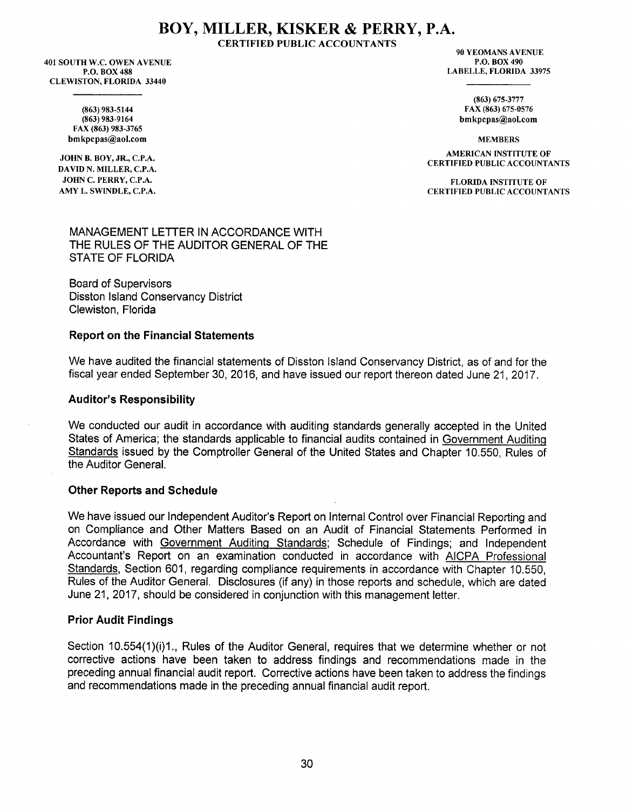## BOY, MILLER, KISKER & PERRY, P.A.

**CERTIFIED PUBLIC ACCOUNTANTS** 

401 SOUTH W.C. OWEN AVENUE **P.O. BOX 488 CLEWISTON, FLORIDA 33440** 

> (863) 983-5144  $(863)$  983-9164 FAX (863) 983-3765 bmkpcpas@aol.com

JOHN B. BOY, JR., C.P.A. DAVID N. MILLER, C.P.A. JOHN C. PERRY, C.P.A. AMY L. SWINDLE, C.P.A.

**90 YEOMANS AVENUE** P.O. BOX 490 **LABELLE, FLORIDA 33975** 

> (863) 675-3777 FAX (863) 675-0576 bmkpcpas@aol.com

**MEMBERS** 

AMERICAN INSTITUTE OF **CERTIFIED PUBLIC ACCOUNTANTS** 

**FLORIDA INSTITUTE OF CERTIFIED PUBLIC ACCOUNTANTS** 

#### MANAGEMENT LETTER IN ACCORDANCE WITH THE RULES OF THE AUDITOR GENERAL OF THE **STATE OF FLORIDA**

**Board of Supervisors Disston Island Conservancy District** Clewiston, Florida

#### **Report on the Financial Statements**

We have audited the financial statements of Disston Island Conservancy District, as of and for the fiscal year ended September 30, 2016, and have issued our report thereon dated June 21, 2017.

#### **Auditor's Responsibility**

We conducted our audit in accordance with auditing standards generally accepted in the United States of America; the standards applicable to financial audits contained in Government Auditing Standards issued by the Comptroller General of the United States and Chapter 10.550. Rules of the Auditor General.

#### **Other Reports and Schedule**

We have issued our Independent Auditor's Report on Internal Control over Financial Reporting and on Compliance and Other Matters Based on an Audit of Financial Statements Performed in Accordance with Government Auditing Standards; Schedule of Findings; and Independent Accountant's Report on an examination conducted in accordance with AICPA Professional Standards, Section 601, regarding compliance requirements in accordance with Chapter 10.550. Rules of the Auditor General. Disclosures (if any) in those reports and schedule, which are dated June 21, 2017, should be considered in conjunction with this management letter.

## **Prior Audit Findings**

Section 10.554(1)(i)1., Rules of the Auditor General, requires that we determine whether or not corrective actions have been taken to address findings and recommendations made in the preceding annual financial audit report. Corrective actions have been taken to address the findings and recommendations made in the preceding annual financial audit report.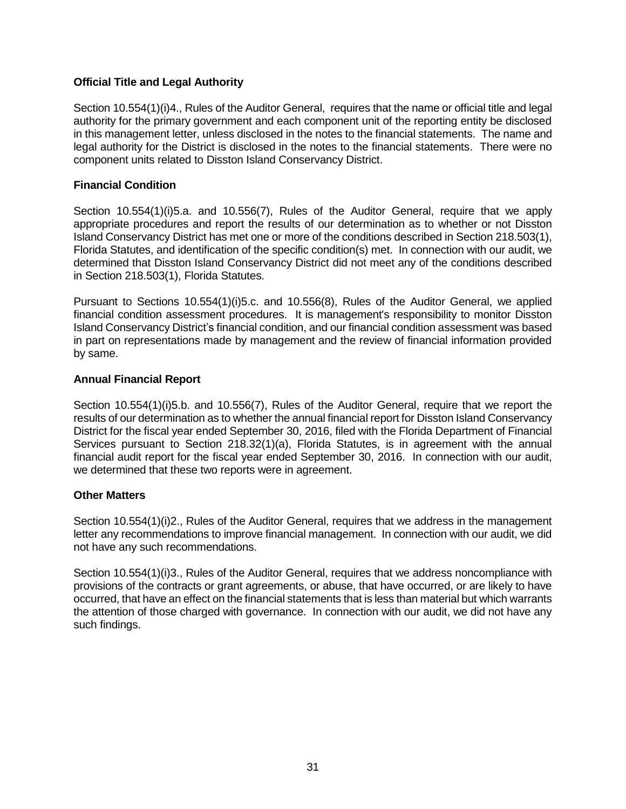## **Official Title and Legal Authority**

Section 10.554(1)(i)4., Rules of the Auditor General, requires that the name or official title and legal authority for the primary government and each component unit of the reporting entity be disclosed in this management letter, unless disclosed in the notes to the financial statements. The name and legal authority for the District is disclosed in the notes to the financial statements. There were no component units related to Disston Island Conservancy District.

#### **Financial Condition**

Section 10.554(1)(i)5.a. and 10.556(7), Rules of the Auditor General, require that we apply appropriate procedures and report the results of our determination as to whether or not Disston Island Conservancy District has met one or more of the conditions described in Section 218.503(1), Florida Statutes, and identification of the specific condition(s) met. In connection with our audit, we determined that Disston Island Conservancy District did not meet any of the conditions described in Section 218.503(1), Florida Statutes.

Pursuant to Sections 10.554(1)(i)5.c. and 10.556(8), Rules of the Auditor General, we applied financial condition assessment procedures. It is management's responsibility to monitor Disston Island Conservancy District's financial condition, and our financial condition assessment was based in part on representations made by management and the review of financial information provided by same.

#### **Annual Financial Report**

Section 10.554(1)(i)5.b. and 10.556(7), Rules of the Auditor General, require that we report the results of our determination as to whether the annual financial report for Disston Island Conservancy District for the fiscal year ended September 30, 2016, filed with the Florida Department of Financial Services pursuant to Section 218.32(1)(a), Florida Statutes, is in agreement with the annual financial audit report for the fiscal year ended September 30, 2016. In connection with our audit, we determined that these two reports were in agreement.

## **Other Matters**

Section 10.554(1)(i)2., Rules of the Auditor General, requires that we address in the management letter any recommendations to improve financial management. In connection with our audit, we did not have any such recommendations.

Section 10.554(1)(i)3., Rules of the Auditor General, requires that we address noncompliance with provisions of the contracts or grant agreements, or abuse, that have occurred, or are likely to have occurred, that have an effect on the financial statements that is less than material but which warrants the attention of those charged with governance. In connection with our audit, we did not have any such findings.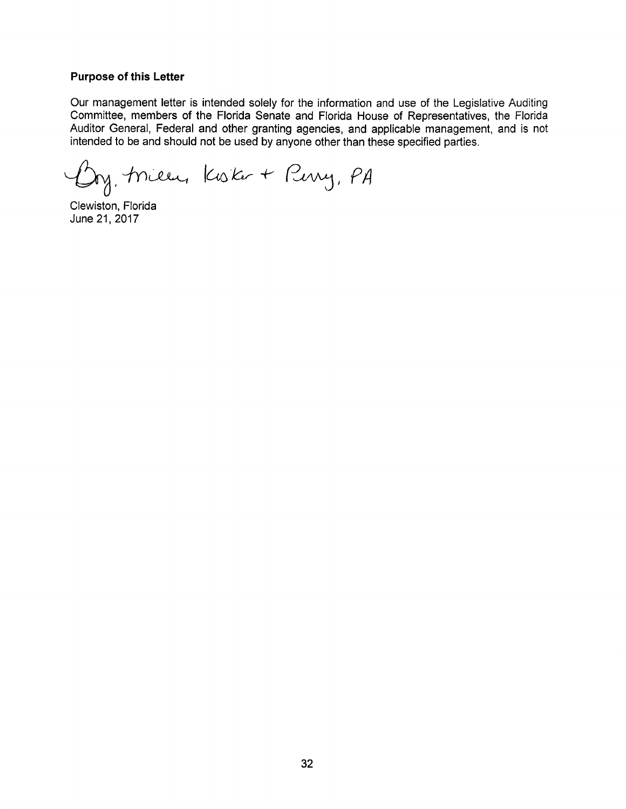#### **Purpose of this Letter**

Our management letter is intended solely for the information and use of the Legislative Auditing Committee, members of the Florida Senate and Florida House of Representatives, the Florida Auditor General, Federal and other granting agencies, and applicable management, and is not intended to be and should not be used by anyone other than these specified parties.

By triem, Kosker + Perry, PA

Clewiston, Florida June 21, 2017